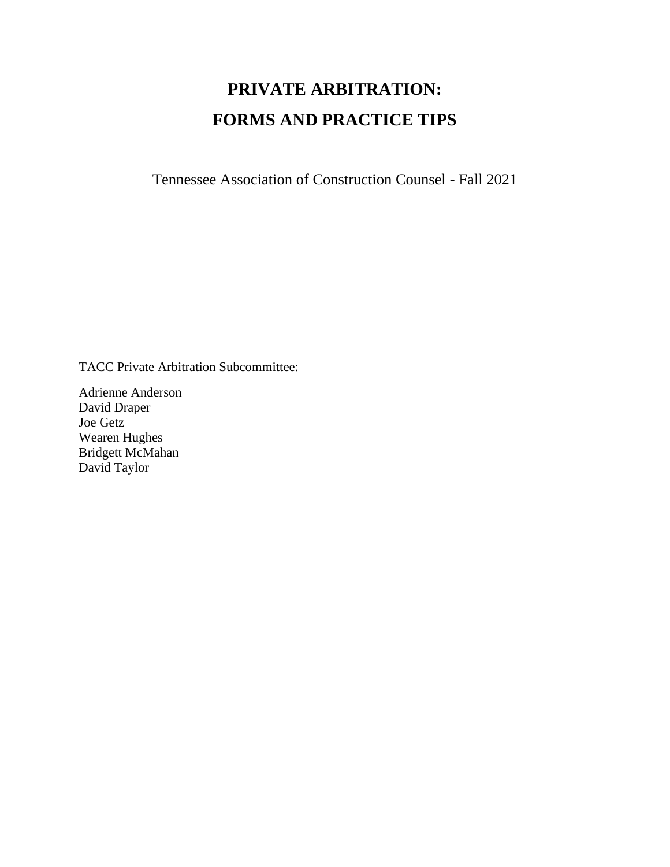# **PRIVATE ARBITRATION: FORMS AND PRACTICE TIPS**

Tennessee Association of Construction Counsel - Fall 2021

TACC Private Arbitration Subcommittee:

Adrienne Anderson David Draper Joe Getz Wearen Hughes Bridgett McMahan David Taylor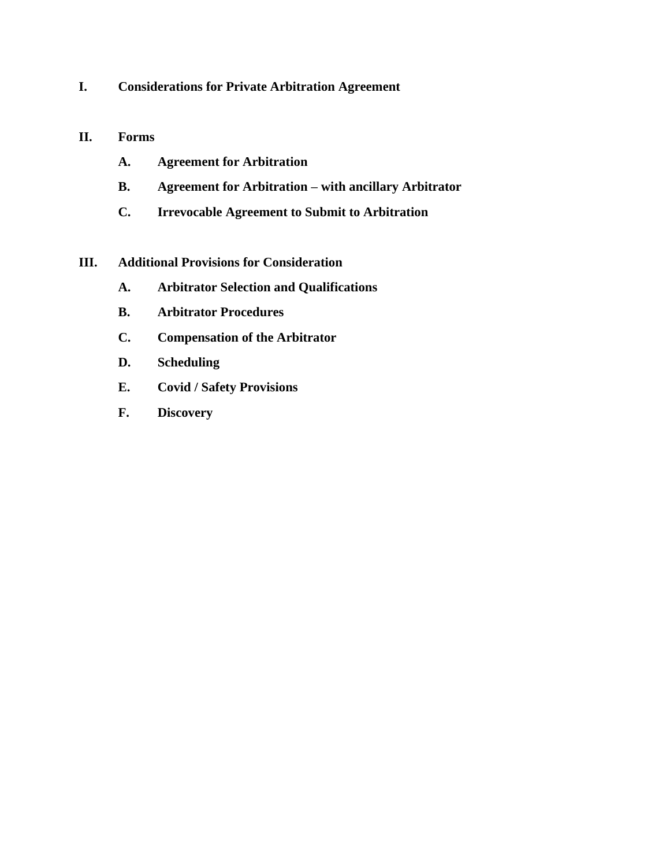**I. Considerations for Private Arbitration Agreement**

#### **II. Forms**

- **A. Agreement for Arbitration**
- **B. Agreement for Arbitration – with ancillary Arbitrator**
- **C. Irrevocable Agreement to Submit to Arbitration**
- **III. Additional Provisions for Consideration**
	- **A. Arbitrator Selection and Qualifications**
	- **B. Arbitrator Procedures**
	- **C. Compensation of the Arbitrator**
	- **D. Scheduling**
	- **E. Covid / Safety Provisions**
	- **F. Discovery**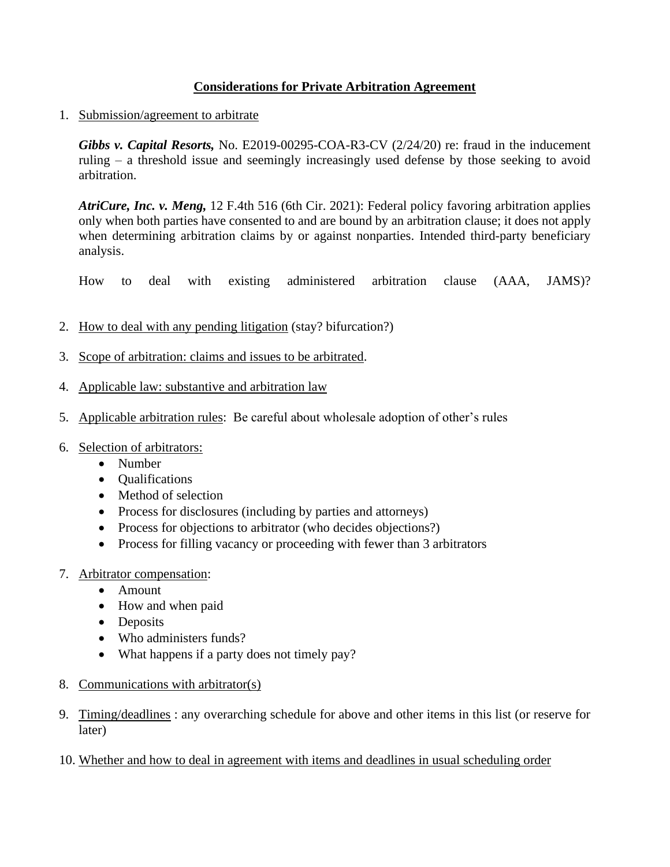# **Considerations for Private Arbitration Agreement**

## 1. Submission/agreement to arbitrate

*Gibbs v. Capital Resorts,* No. E2019-00295-COA-R3-CV (2/24/20) re: fraud in the inducement ruling – a threshold issue and seemingly increasingly used defense by those seeking to avoid arbitration.

*AtriCure, Inc. v. Meng,* 12 F.4th 516 (6th Cir. 2021): Federal policy favoring arbitration applies only when both parties have consented to and are bound by an arbitration clause; it does not apply when determining arbitration claims by or against nonparties. Intended third-party beneficiary analysis.

How to deal with existing administered arbitration clause (AAA, JAMS)?

- 2. How to deal with any pending litigation (stay? bifurcation?)
- 3. Scope of arbitration: claims and issues to be arbitrated.
- 4. Applicable law: substantive and arbitration law
- 5. Applicable arbitration rules: Be careful about wholesale adoption of other's rules
- 6. Selection of arbitrators:
	- Number
	- Qualifications
	- Method of selection
	- Process for disclosures (including by parties and attorneys)
	- Process for objections to arbitrator (who decides objections?)
	- Process for filling vacancy or proceeding with fewer than 3 arbitrators
- 7. Arbitrator compensation:
	- Amount
	- How and when paid
	- Deposits
	- Who administers funds?
	- What happens if a party does not timely pay?
- 8. Communications with arbitrator(s)
- 9. Timing/deadlines : any overarching schedule for above and other items in this list (or reserve for later)
- 10. Whether and how to deal in agreement with items and deadlines in usual scheduling order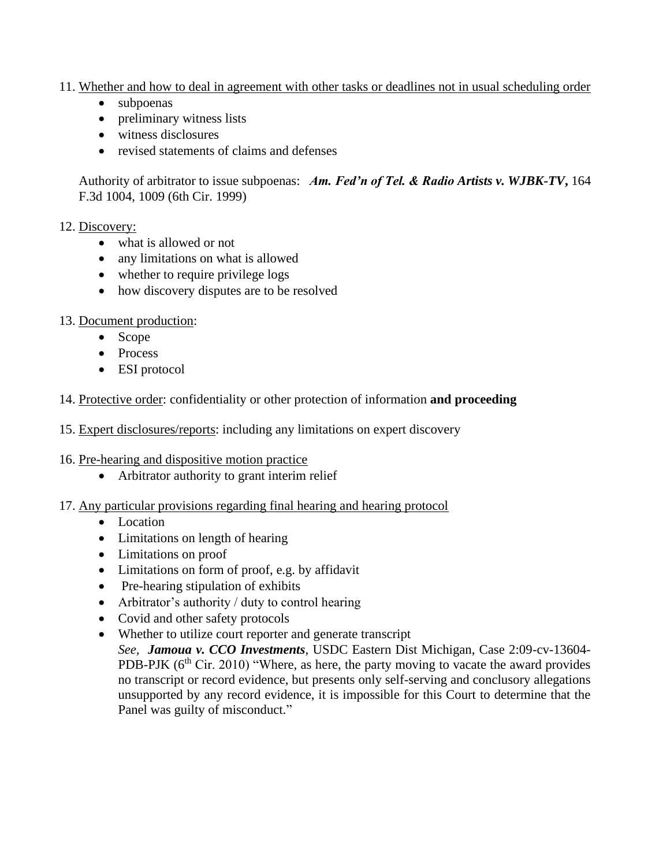- 11. Whether and how to deal in agreement with other tasks or deadlines not in usual scheduling order
	- subpoenas
	- preliminary witness lists
	- witness disclosures
	- revised statements of claims and defenses

Authority of arbitrator to issue subpoenas: *Am. Fed'n of Tel. & Radio Artists v. WJBK-TV***,** 164 F.3d 1004, 1009 (6th Cir. 1999)

## 12. Discovery:

- what is allowed or not
- any limitations on what is allowed
- whether to require privilege logs
- how discovery disputes are to be resolved
- 13. Document production:
	- Scope
	- Process
	- ESI protocol
- 14. Protective order: confidentiality or other protection of information **and proceeding**
- 15. Expert disclosures/reports: including any limitations on expert discovery
- 16. Pre-hearing and dispositive motion practice
	- Arbitrator authority to grant interim relief
- 17. Any particular provisions regarding final hearing and hearing protocol
	- Location
	- Limitations on length of hearing
	- Limitations on proof
	- Limitations on form of proof, e.g. by affidavit
	- Pre-hearing stipulation of exhibits
	- Arbitrator's authority / duty to control hearing
	- Covid and other safety protocols
	- Whether to utilize court reporter and generate transcript *See, Jamoua v. CCO Investments*, USDC Eastern Dist Michigan, Case 2:09-cv-13604- PDB-PJK  $(6<sup>th</sup> Cir. 2010)$  "Where, as here, the party moving to vacate the award provides no transcript or record evidence, but presents only self-serving and conclusory allegations unsupported by any record evidence, it is impossible for this Court to determine that the Panel was guilty of misconduct."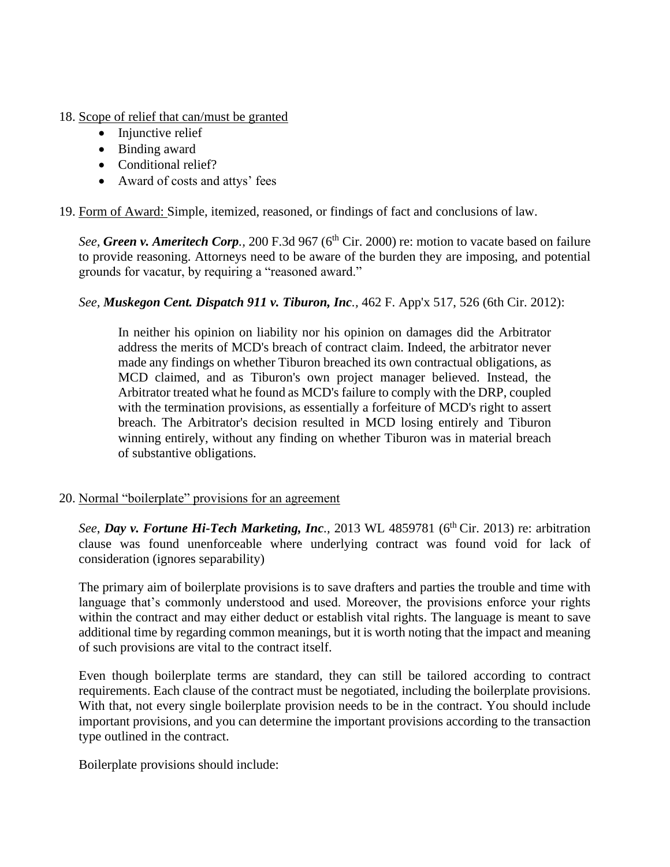- 18. Scope of relief that can/must be granted
	- Injunctive relief
	- Binding award
	- Conditional relief?
	- Award of costs and attys' fees

19. Form of Award: Simple, itemized, reasoned, or findings of fact and conclusions of law.

*See, Green v. Ameritech Corp.*, 200 F.3d 967 (6<sup>th</sup> Cir. 2000) re: motion to vacate based on failure to provide reasoning. Attorneys need to be aware of the burden they are imposing, and potential grounds for vacatur, by requiring a "reasoned award."

*See, Muskegon Cent. Dispatch 911 v. Tiburon, Inc.,* 462 F. App'x 517, 526 (6th Cir. 2012):

In neither his opinion on liability nor his opinion on damages did the Arbitrator address the merits of MCD's breach of contract claim. Indeed, the arbitrator never made any findings on whether Tiburon breached its own contractual obligations, as MCD claimed, and as Tiburon's own project manager believed. Instead, the Arbitrator treated what he found as MCD's failure to comply with the DRP, coupled with the termination provisions, as essentially a forfeiture of MCD's right to assert breach. The Arbitrator's decision resulted in MCD losing entirely and Tiburon winning entirely, without any finding on whether Tiburon was in material breach of substantive obligations.

20. Normal "boilerplate" provisions for an agreement

*See*, *Day v. Fortune Hi-Tech Marketing, Inc.,* 2013 WL 4859781 (6th Cir. 2013) re: arbitration clause was found unenforceable where underlying contract was found void for lack of consideration (ignores separability)

The primary aim of boilerplate provisions is to save drafters and parties the trouble and time with language that's commonly understood and used. Moreover, the provisions enforce your rights within the contract and may either deduct or establish vital rights. The language is meant to save additional time by regarding common meanings, but it is worth noting that the impact and meaning of such provisions are vital to the contract itself.

Even though boilerplate terms are standard, they can still be tailored according to contract requirements. Each clause of the contract must be negotiated, including the boilerplate provisions. With that, not every single boilerplate provision needs to be in the contract. You should include important provisions, and you can determine the important provisions according to the transaction type outlined in the contract.

Boilerplate provisions should include: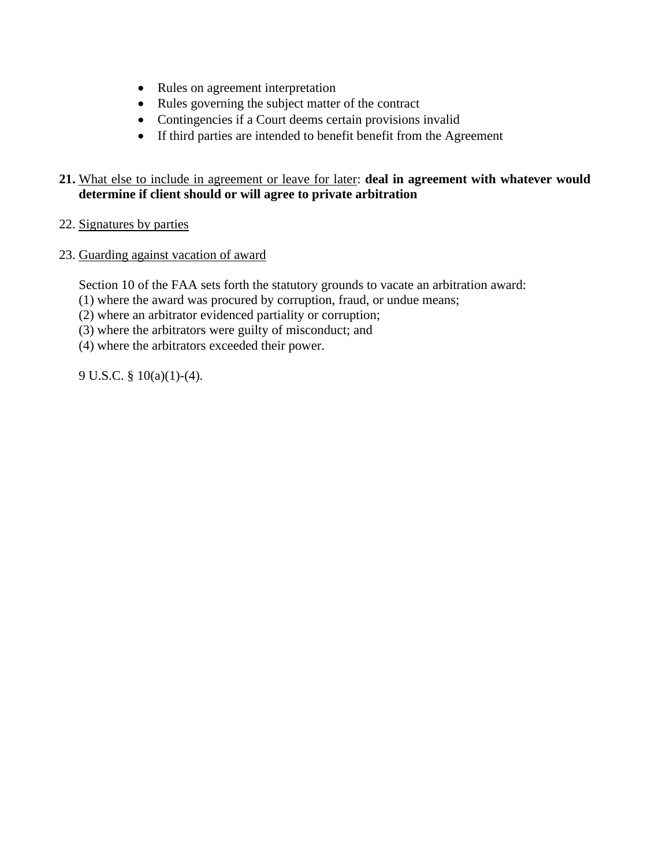- Rules on agreement interpretation
- Rules governing the subject matter of the contract
- Contingencies if a Court deems certain provisions invalid
- If third parties are intended to benefit benefit from the Agreement

## **21.** What else to include in agreement or leave for later: **deal in agreement with whatever would determine if client should or will agree to private arbitration**

- 22. Signatures by parties
- 23. Guarding against vacation of award

Section 10 of the FAA sets forth the statutory grounds to vacate an arbitration award:

(1) where the award was procured by corruption, fraud, or undue means;

- (2) where an arbitrator evidenced partiality or corruption;
- (3) where the arbitrators were guilty of misconduct; and
- (4) where the arbitrators exceeded their power.

9 U.S.C. § 10(a)(1)-(4).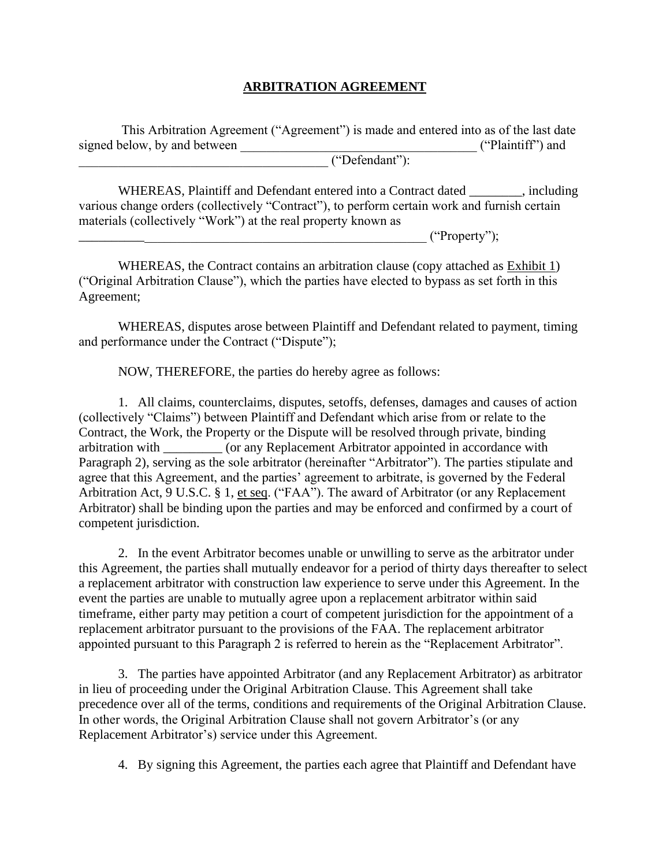## **ARBITRATION AGREEMENT**

This Arbitration Agreement ("Agreement") is made and entered into as of the last date signed below, by and between  $($ "Plaintiff") and \_\_\_\_\_\_\_\_\_\_\_\_\_\_\_\_\_\_\_\_\_\_\_\_\_\_\_\_\_\_\_\_\_\_\_\_\_\_ ("Defendant"):

WHEREAS, Plaintiff and Defendant entered into a Contract dated \_\_\_\_\_\_\_\_, including various change orders (collectively "Contract"), to perform certain work and furnish certain materials (collectively "Work") at the real property known as

 $("Property");$ 

WHEREAS, the Contract contains an arbitration clause (copy attached as Exhibit 1) ("Original Arbitration Clause"), which the parties have elected to bypass as set forth in this Agreement;

WHEREAS, disputes arose between Plaintiff and Defendant related to payment, timing and performance under the Contract ("Dispute");

NOW, THEREFORE, the parties do hereby agree as follows:

1. All claims, counterclaims, disputes, setoffs, defenses, damages and causes of action (collectively "Claims") between Plaintiff and Defendant which arise from or relate to the Contract, the Work, the Property or the Dispute will be resolved through private, binding arbitration with  $\qquad \qquad$  (or any Replacement Arbitrator appointed in accordance with Paragraph 2), serving as the sole arbitrator (hereinafter "Arbitrator"). The parties stipulate and agree that this Agreement, and the parties' agreement to arbitrate, is governed by the Federal Arbitration Act, 9 U.S.C. § 1, et seq. ("FAA"). The award of Arbitrator (or any Replacement Arbitrator) shall be binding upon the parties and may be enforced and confirmed by a court of competent jurisdiction.

2. In the event Arbitrator becomes unable or unwilling to serve as the arbitrator under this Agreement, the parties shall mutually endeavor for a period of thirty days thereafter to select a replacement arbitrator with construction law experience to serve under this Agreement. In the event the parties are unable to mutually agree upon a replacement arbitrator within said timeframe, either party may petition a court of competent jurisdiction for the appointment of a replacement arbitrator pursuant to the provisions of the FAA. The replacement arbitrator appointed pursuant to this Paragraph 2 is referred to herein as the "Replacement Arbitrator".

3. The parties have appointed Arbitrator (and any Replacement Arbitrator) as arbitrator in lieu of proceeding under the Original Arbitration Clause. This Agreement shall take precedence over all of the terms, conditions and requirements of the Original Arbitration Clause. In other words, the Original Arbitration Clause shall not govern Arbitrator's (or any Replacement Arbitrator's) service under this Agreement.

4. By signing this Agreement, the parties each agree that Plaintiff and Defendant have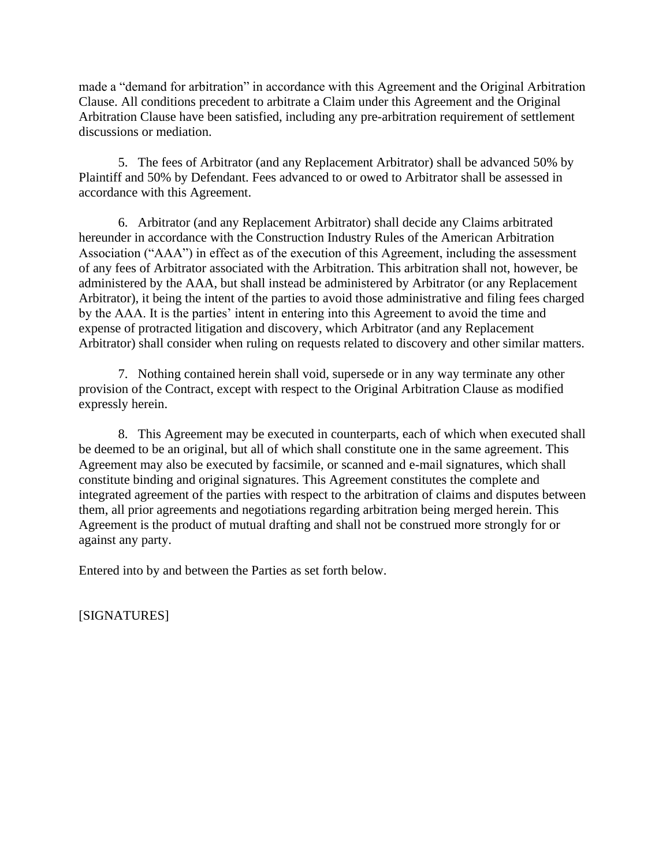made a "demand for arbitration" in accordance with this Agreement and the Original Arbitration Clause. All conditions precedent to arbitrate a Claim under this Agreement and the Original Arbitration Clause have been satisfied, including any pre-arbitration requirement of settlement discussions or mediation.

5. The fees of Arbitrator (and any Replacement Arbitrator) shall be advanced 50% by Plaintiff and 50% by Defendant. Fees advanced to or owed to Arbitrator shall be assessed in accordance with this Agreement.

6. Arbitrator (and any Replacement Arbitrator) shall decide any Claims arbitrated hereunder in accordance with the Construction Industry Rules of the American Arbitration Association ("AAA") in effect as of the execution of this Agreement, including the assessment of any fees of Arbitrator associated with the Arbitration. This arbitration shall not, however, be administered by the AAA, but shall instead be administered by Arbitrator (or any Replacement Arbitrator), it being the intent of the parties to avoid those administrative and filing fees charged by the AAA. It is the parties' intent in entering into this Agreement to avoid the time and expense of protracted litigation and discovery, which Arbitrator (and any Replacement Arbitrator) shall consider when ruling on requests related to discovery and other similar matters.

7. Nothing contained herein shall void, supersede or in any way terminate any other provision of the Contract, except with respect to the Original Arbitration Clause as modified expressly herein.

8. This Agreement may be executed in counterparts, each of which when executed shall be deemed to be an original, but all of which shall constitute one in the same agreement. This Agreement may also be executed by facsimile, or scanned and e-mail signatures, which shall constitute binding and original signatures. This Agreement constitutes the complete and integrated agreement of the parties with respect to the arbitration of claims and disputes between them, all prior agreements and negotiations regarding arbitration being merged herein. This Agreement is the product of mutual drafting and shall not be construed more strongly for or against any party.

Entered into by and between the Parties as set forth below.

[SIGNATURES]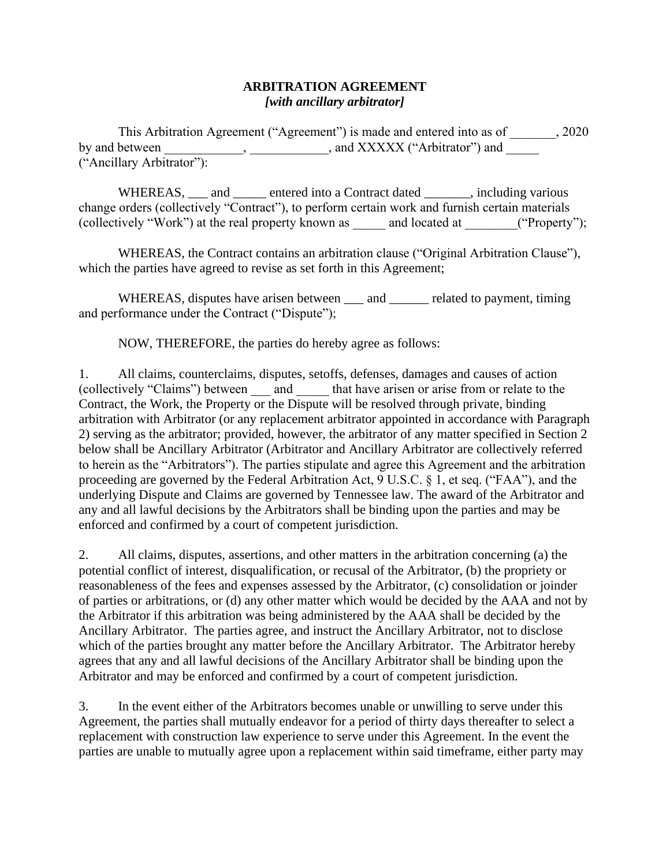#### **ARBITRATION AGREEMENT** *[with ancillary arbitrator]*

This Arbitration Agreement ("Agreement") is made and entered into as of \_\_\_\_\_\_\_, 2020 by and between \_\_\_\_\_\_\_\_\_\_, \_\_\_\_\_\_\_\_\_\_\_\_, and XXXXX ("Arbitrator") and  $\overline{\phantom{a}}$ ("Ancillary Arbitrator"):

WHEREAS, \_\_\_ and \_\_\_\_\_ entered into a Contract dated \_\_\_\_\_\_, including various change orders (collectively "Contract"), to perform certain work and furnish certain materials (collectively "Work") at the real property known as \_\_\_\_\_ and located at \_\_\_\_\_\_\_\_("Property");

WHEREAS, the Contract contains an arbitration clause ("Original Arbitration Clause"), which the parties have agreed to revise as set forth in this Agreement;

WHEREAS, disputes have arisen between \_\_\_\_ and \_\_\_\_\_\_\_ related to payment, timing and performance under the Contract ("Dispute");

NOW, THEREFORE, the parties do hereby agree as follows:

1. All claims, counterclaims, disputes, setoffs, defenses, damages and causes of action (collectively "Claims") between and that have arisen or arise from or relate to the Contract, the Work, the Property or the Dispute will be resolved through private, binding arbitration with Arbitrator (or any replacement arbitrator appointed in accordance with Paragraph 2) serving as the arbitrator; provided, however, the arbitrator of any matter specified in Section 2 below shall be Ancillary Arbitrator (Arbitrator and Ancillary Arbitrator are collectively referred to herein as the "Arbitrators"). The parties stipulate and agree this Agreement and the arbitration proceeding are governed by the Federal Arbitration Act, 9 U.S.C. § 1, et seq. ("FAA"), and the underlying Dispute and Claims are governed by Tennessee law. The award of the Arbitrator and any and all lawful decisions by the Arbitrators shall be binding upon the parties and may be enforced and confirmed by a court of competent jurisdiction.

2. All claims, disputes, assertions, and other matters in the arbitration concerning (a) the potential conflict of interest, disqualification, or recusal of the Arbitrator, (b) the propriety or reasonableness of the fees and expenses assessed by the Arbitrator, (c) consolidation or joinder of parties or arbitrations, or (d) any other matter which would be decided by the AAA and not by the Arbitrator if this arbitration was being administered by the AAA shall be decided by the Ancillary Arbitrator. The parties agree, and instruct the Ancillary Arbitrator, not to disclose which of the parties brought any matter before the Ancillary Arbitrator. The Arbitrator hereby agrees that any and all lawful decisions of the Ancillary Arbitrator shall be binding upon the Arbitrator and may be enforced and confirmed by a court of competent jurisdiction.

3. In the event either of the Arbitrators becomes unable or unwilling to serve under this Agreement, the parties shall mutually endeavor for a period of thirty days thereafter to select a replacement with construction law experience to serve under this Agreement. In the event the parties are unable to mutually agree upon a replacement within said timeframe, either party may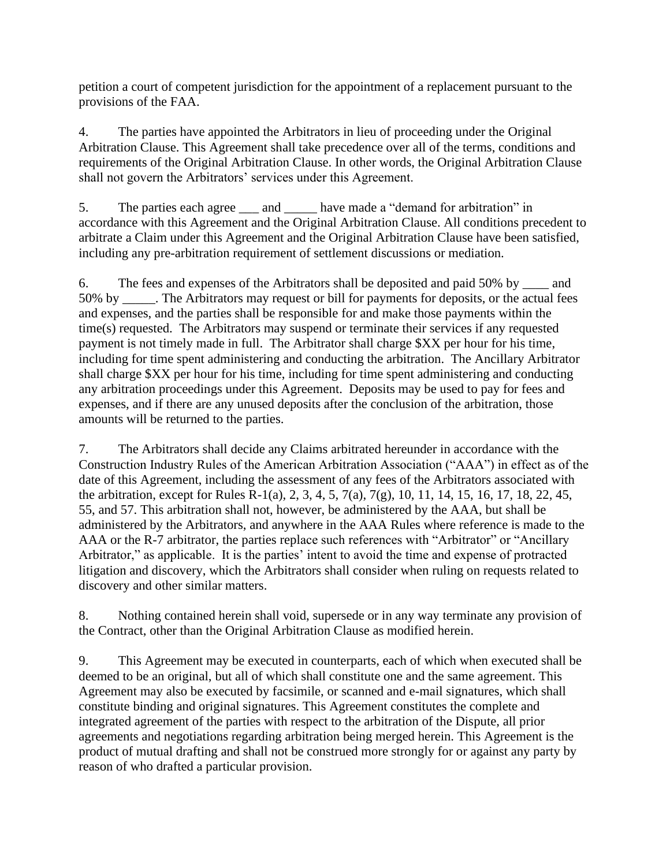petition a court of competent jurisdiction for the appointment of a replacement pursuant to the provisions of the FAA.

4. The parties have appointed the Arbitrators in lieu of proceeding under the Original Arbitration Clause. This Agreement shall take precedence over all of the terms, conditions and requirements of the Original Arbitration Clause. In other words, the Original Arbitration Clause shall not govern the Arbitrators' services under this Agreement.

5. The parties each agree \_\_\_ and \_\_\_\_\_ have made a "demand for arbitration" in accordance with this Agreement and the Original Arbitration Clause. All conditions precedent to arbitrate a Claim under this Agreement and the Original Arbitration Clause have been satisfied, including any pre-arbitration requirement of settlement discussions or mediation.

6. The fees and expenses of the Arbitrators shall be deposited and paid 50% by \_\_\_\_ and 50% by \_\_\_\_\_. The Arbitrators may request or bill for payments for deposits, or the actual fees and expenses, and the parties shall be responsible for and make those payments within the time(s) requested. The Arbitrators may suspend or terminate their services if any requested payment is not timely made in full. The Arbitrator shall charge \$XX per hour for his time, including for time spent administering and conducting the arbitration. The Ancillary Arbitrator shall charge \$XX per hour for his time, including for time spent administering and conducting any arbitration proceedings under this Agreement. Deposits may be used to pay for fees and expenses, and if there are any unused deposits after the conclusion of the arbitration, those amounts will be returned to the parties.

7. The Arbitrators shall decide any Claims arbitrated hereunder in accordance with the Construction Industry Rules of the American Arbitration Association ("AAA") in effect as of the date of this Agreement, including the assessment of any fees of the Arbitrators associated with the arbitration, except for Rules R-1(a), 2, 3, 4, 5, 7(a), 7(g), 10, 11, 14, 15, 16, 17, 18, 22, 45, 55, and 57. This arbitration shall not, however, be administered by the AAA, but shall be administered by the Arbitrators, and anywhere in the AAA Rules where reference is made to the AAA or the R-7 arbitrator, the parties replace such references with "Arbitrator" or "Ancillary Arbitrator," as applicable. It is the parties' intent to avoid the time and expense of protracted litigation and discovery, which the Arbitrators shall consider when ruling on requests related to discovery and other similar matters.

8. Nothing contained herein shall void, supersede or in any way terminate any provision of the Contract, other than the Original Arbitration Clause as modified herein.

9. This Agreement may be executed in counterparts, each of which when executed shall be deemed to be an original, but all of which shall constitute one and the same agreement. This Agreement may also be executed by facsimile, or scanned and e-mail signatures, which shall constitute binding and original signatures. This Agreement constitutes the complete and integrated agreement of the parties with respect to the arbitration of the Dispute, all prior agreements and negotiations regarding arbitration being merged herein. This Agreement is the product of mutual drafting and shall not be construed more strongly for or against any party by reason of who drafted a particular provision.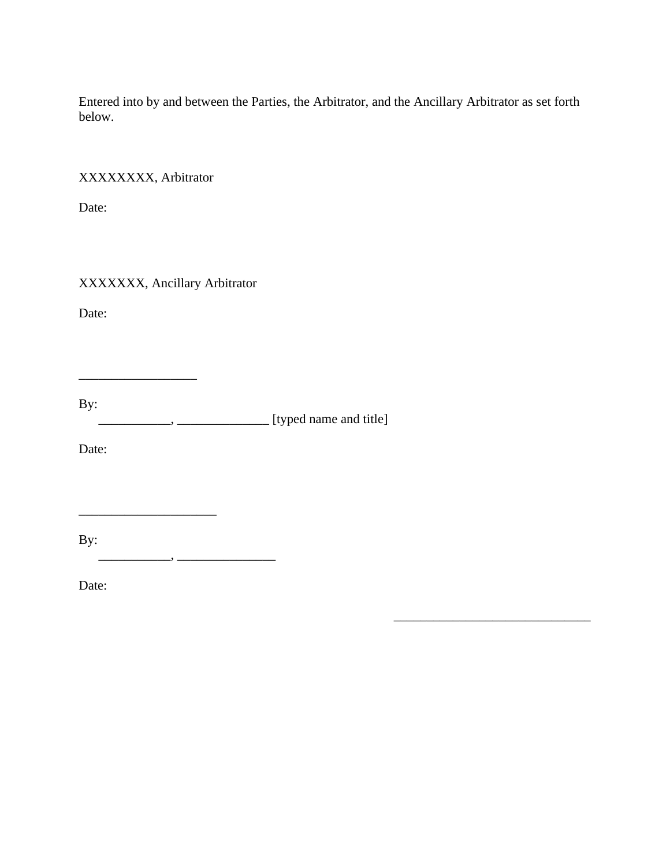Entered into by and between the Parties, the Arbitrator, and the Ancillary Arbitrator as set forth below.

\_\_\_\_\_\_\_\_\_\_\_\_\_\_\_\_\_\_\_\_\_\_\_\_\_\_\_\_\_\_

XXXXXXXX, Arbitrator

Date:

XXXXXXX, Ancillary Arbitrator

Date:

By: \_\_\_\_\_\_\_\_\_\_\_, \_\_\_\_\_\_\_\_\_\_\_\_\_\_ [typed name and title]

Date:

By:

 $\overline{\phantom{a}}$  , and the set of the set of the set of the set of the set of the set of the set of the set of the set of the set of the set of the set of the set of the set of the set of the set of the set of the set of the s

\_\_\_\_\_\_\_\_\_\_\_, \_\_\_\_\_\_\_\_\_\_\_\_\_\_\_

Date: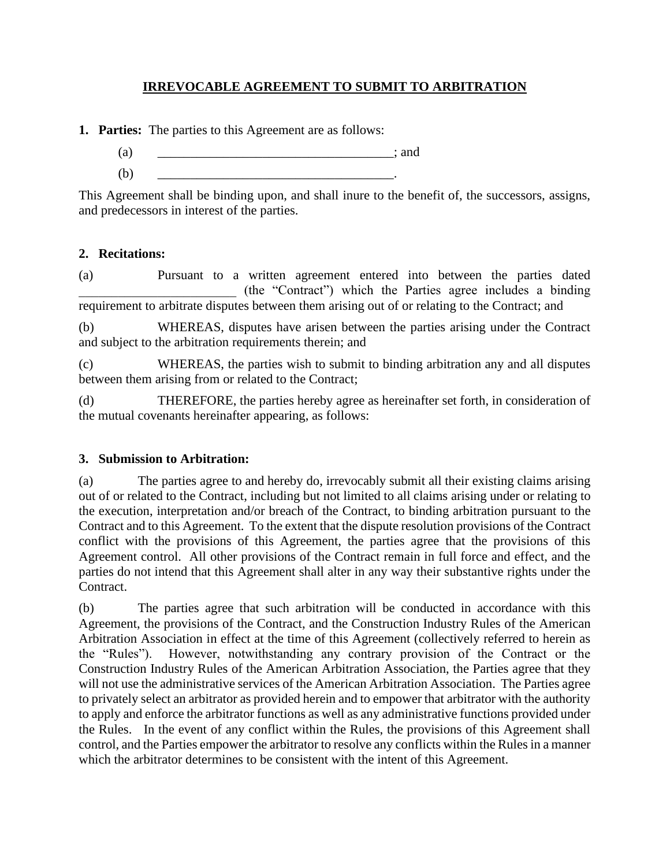# **IRREVOCABLE AGREEMENT TO SUBMIT TO ARBITRATION**

**1. Parties:** The parties to this Agreement are as follows:

- $(a)$  ; and
- (b) \_\_\_\_\_\_\_\_\_\_\_\_\_\_\_\_\_\_\_\_\_\_\_\_\_\_\_\_\_\_\_\_\_\_\_\_.

This Agreement shall be binding upon, and shall inure to the benefit of, the successors, assigns, and predecessors in interest of the parties.

# **2. Recitations:**

(a) Pursuant to a written agreement entered into between the parties dated \_\_\_\_\_\_\_\_\_\_\_\_\_\_\_\_\_\_\_\_\_\_\_\_ (the "Contract") which the Parties agree includes a binding requirement to arbitrate disputes between them arising out of or relating to the Contract; and

(b) WHEREAS, disputes have arisen between the parties arising under the Contract and subject to the arbitration requirements therein; and

(c) WHEREAS, the parties wish to submit to binding arbitration any and all disputes between them arising from or related to the Contract;

(d) THEREFORE, the parties hereby agree as hereinafter set forth, in consideration of the mutual covenants hereinafter appearing, as follows:

## **3. Submission to Arbitration:**

(a) The parties agree to and hereby do, irrevocably submit all their existing claims arising out of or related to the Contract, including but not limited to all claims arising under or relating to the execution, interpretation and/or breach of the Contract, to binding arbitration pursuant to the Contract and to this Agreement. To the extent that the dispute resolution provisions of the Contract conflict with the provisions of this Agreement, the parties agree that the provisions of this Agreement control. All other provisions of the Contract remain in full force and effect, and the parties do not intend that this Agreement shall alter in any way their substantive rights under the Contract.

(b) The parties agree that such arbitration will be conducted in accordance with this Agreement, the provisions of the Contract, and the Construction Industry Rules of the American Arbitration Association in effect at the time of this Agreement (collectively referred to herein as the "Rules"). However, notwithstanding any contrary provision of the Contract or the Construction Industry Rules of the American Arbitration Association, the Parties agree that they will not use the administrative services of the American Arbitration Association. The Parties agree to privately select an arbitrator as provided herein and to empower that arbitrator with the authority to apply and enforce the arbitrator functions as well as any administrative functions provided under the Rules. In the event of any conflict within the Rules, the provisions of this Agreement shall control, and the Parties empower the arbitrator to resolve any conflicts within the Rules in a manner which the arbitrator determines to be consistent with the intent of this Agreement.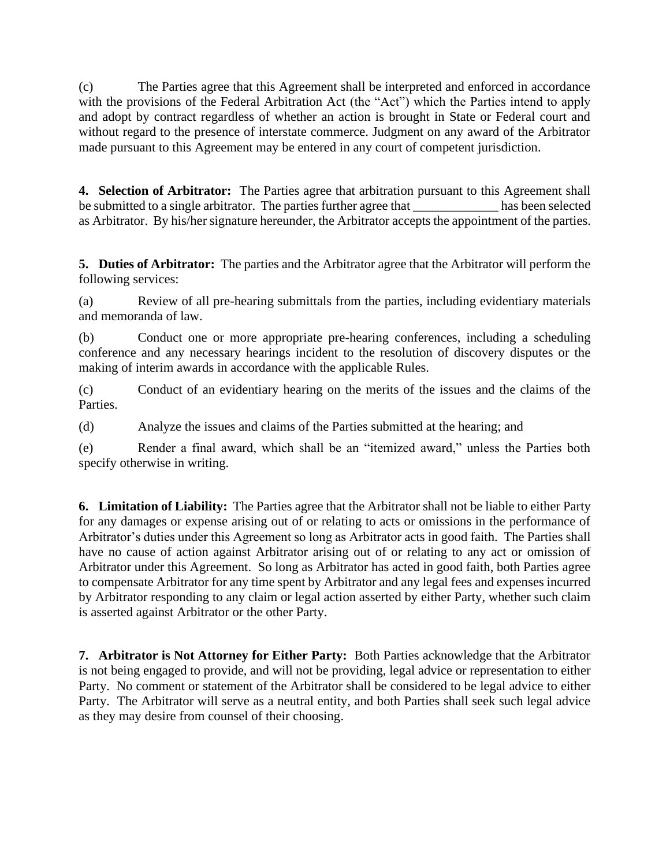(c) The Parties agree that this Agreement shall be interpreted and enforced in accordance with the provisions of the Federal Arbitration Act (the "Act") which the Parties intend to apply and adopt by contract regardless of whether an action is brought in State or Federal court and without regard to the presence of interstate commerce. Judgment on any award of the Arbitrator made pursuant to this Agreement may be entered in any court of competent jurisdiction.

**4. Selection of Arbitrator:** The Parties agree that arbitration pursuant to this Agreement shall be submitted to a single arbitrator. The parties further agree that \_\_\_\_\_\_\_\_\_\_\_\_\_ has been selected as Arbitrator. By his/her signature hereunder, the Arbitrator accepts the appointment of the parties.

**5. Duties of Arbitrator:** The parties and the Arbitrator agree that the Arbitrator will perform the following services:

(a) Review of all pre-hearing submittals from the parties, including evidentiary materials and memoranda of law.

(b) Conduct one or more appropriate pre-hearing conferences, including a scheduling conference and any necessary hearings incident to the resolution of discovery disputes or the making of interim awards in accordance with the applicable Rules.

(c) Conduct of an evidentiary hearing on the merits of the issues and the claims of the Parties.

(d) Analyze the issues and claims of the Parties submitted at the hearing; and

(e) Render a final award, which shall be an "itemized award," unless the Parties both specify otherwise in writing.

**6. Limitation of Liability:** The Parties agree that the Arbitrator shall not be liable to either Party for any damages or expense arising out of or relating to acts or omissions in the performance of Arbitrator's duties under this Agreement so long as Arbitrator acts in good faith. The Parties shall have no cause of action against Arbitrator arising out of or relating to any act or omission of Arbitrator under this Agreement. So long as Arbitrator has acted in good faith, both Parties agree to compensate Arbitrator for any time spent by Arbitrator and any legal fees and expenses incurred by Arbitrator responding to any claim or legal action asserted by either Party, whether such claim is asserted against Arbitrator or the other Party.

**7. Arbitrator is Not Attorney for Either Party:** Both Parties acknowledge that the Arbitrator is not being engaged to provide, and will not be providing, legal advice or representation to either Party. No comment or statement of the Arbitrator shall be considered to be legal advice to either Party. The Arbitrator will serve as a neutral entity, and both Parties shall seek such legal advice as they may desire from counsel of their choosing.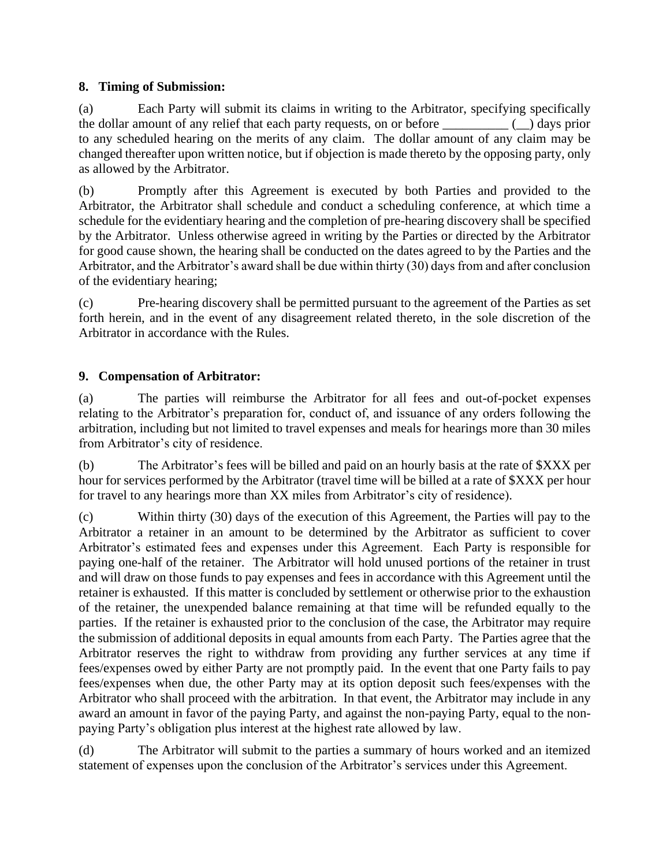## **8. Timing of Submission:**

(a) Each Party will submit its claims in writing to the Arbitrator, specifying specifically the dollar amount of any relief that each party requests, on or before \_\_\_\_\_\_\_\_\_\_ (\_\_) days prior to any scheduled hearing on the merits of any claim. The dollar amount of any claim may be changed thereafter upon written notice, but if objection is made thereto by the opposing party, only as allowed by the Arbitrator.

(b) Promptly after this Agreement is executed by both Parties and provided to the Arbitrator, the Arbitrator shall schedule and conduct a scheduling conference, at which time a schedule for the evidentiary hearing and the completion of pre-hearing discovery shall be specified by the Arbitrator. Unless otherwise agreed in writing by the Parties or directed by the Arbitrator for good cause shown, the hearing shall be conducted on the dates agreed to by the Parties and the Arbitrator, and the Arbitrator's award shall be due within thirty (30) days from and after conclusion of the evidentiary hearing;

(c) Pre-hearing discovery shall be permitted pursuant to the agreement of the Parties as set forth herein, and in the event of any disagreement related thereto, in the sole discretion of the Arbitrator in accordance with the Rules.

# **9. Compensation of Arbitrator:**

(a) The parties will reimburse the Arbitrator for all fees and out-of-pocket expenses relating to the Arbitrator's preparation for, conduct of, and issuance of any orders following the arbitration, including but not limited to travel expenses and meals for hearings more than 30 miles from Arbitrator's city of residence.

(b) The Arbitrator's fees will be billed and paid on an hourly basis at the rate of \$XXX per hour for services performed by the Arbitrator (travel time will be billed at a rate of \$XXX per hour for travel to any hearings more than XX miles from Arbitrator's city of residence).

(c) Within thirty (30) days of the execution of this Agreement, the Parties will pay to the Arbitrator a retainer in an amount to be determined by the Arbitrator as sufficient to cover Arbitrator's estimated fees and expenses under this Agreement. Each Party is responsible for paying one-half of the retainer. The Arbitrator will hold unused portions of the retainer in trust and will draw on those funds to pay expenses and fees in accordance with this Agreement until the retainer is exhausted. If this matter is concluded by settlement or otherwise prior to the exhaustion of the retainer, the unexpended balance remaining at that time will be refunded equally to the parties. If the retainer is exhausted prior to the conclusion of the case, the Arbitrator may require the submission of additional deposits in equal amounts from each Party. The Parties agree that the Arbitrator reserves the right to withdraw from providing any further services at any time if fees/expenses owed by either Party are not promptly paid. In the event that one Party fails to pay fees/expenses when due, the other Party may at its option deposit such fees/expenses with the Arbitrator who shall proceed with the arbitration. In that event, the Arbitrator may include in any award an amount in favor of the paying Party, and against the non-paying Party, equal to the nonpaying Party's obligation plus interest at the highest rate allowed by law.

(d) The Arbitrator will submit to the parties a summary of hours worked and an itemized statement of expenses upon the conclusion of the Arbitrator's services under this Agreement.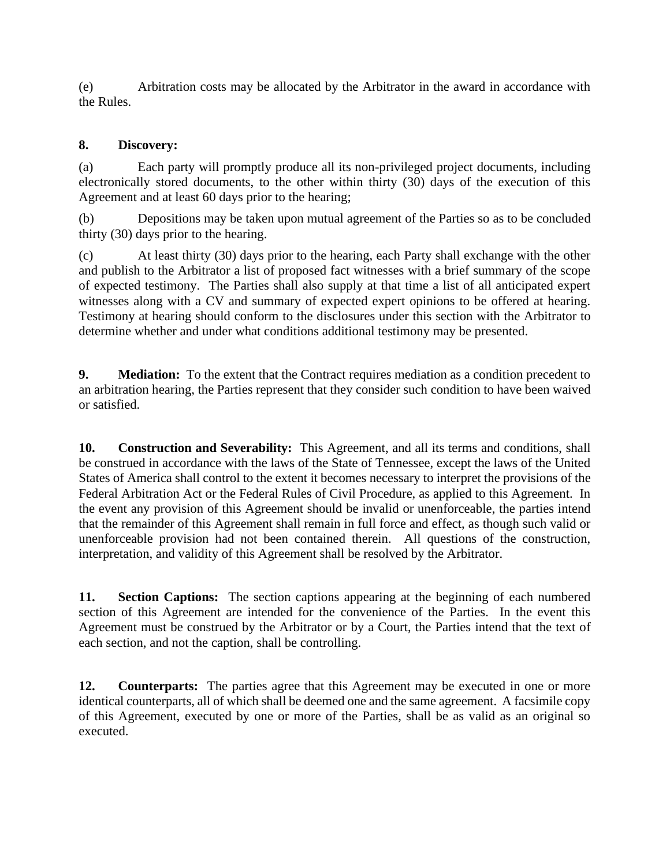(e) Arbitration costs may be allocated by the Arbitrator in the award in accordance with the Rules.

## **8. Discovery:**

(a) Each party will promptly produce all its non-privileged project documents, including electronically stored documents, to the other within thirty (30) days of the execution of this Agreement and at least 60 days prior to the hearing;

(b) Depositions may be taken upon mutual agreement of the Parties so as to be concluded thirty (30) days prior to the hearing.

(c) At least thirty (30) days prior to the hearing, each Party shall exchange with the other and publish to the Arbitrator a list of proposed fact witnesses with a brief summary of the scope of expected testimony. The Parties shall also supply at that time a list of all anticipated expert witnesses along with a CV and summary of expected expert opinions to be offered at hearing. Testimony at hearing should conform to the disclosures under this section with the Arbitrator to determine whether and under what conditions additional testimony may be presented.

**9. Mediation:** To the extent that the Contract requires mediation as a condition precedent to an arbitration hearing, the Parties represent that they consider such condition to have been waived or satisfied.

**10. Construction and Severability:** This Agreement, and all its terms and conditions, shall be construed in accordance with the laws of the State of Tennessee, except the laws of the United States of America shall control to the extent it becomes necessary to interpret the provisions of the Federal Arbitration Act or the Federal Rules of Civil Procedure, as applied to this Agreement. In the event any provision of this Agreement should be invalid or unenforceable, the parties intend that the remainder of this Agreement shall remain in full force and effect, as though such valid or unenforceable provision had not been contained therein. All questions of the construction, interpretation, and validity of this Agreement shall be resolved by the Arbitrator.

**11. Section Captions:** The section captions appearing at the beginning of each numbered section of this Agreement are intended for the convenience of the Parties. In the event this Agreement must be construed by the Arbitrator or by a Court, the Parties intend that the text of each section, and not the caption, shall be controlling.

**12. Counterparts:** The parties agree that this Agreement may be executed in one or more identical counterparts, all of which shall be deemed one and the same agreement. A facsimile copy of this Agreement, executed by one or more of the Parties, shall be as valid as an original so executed.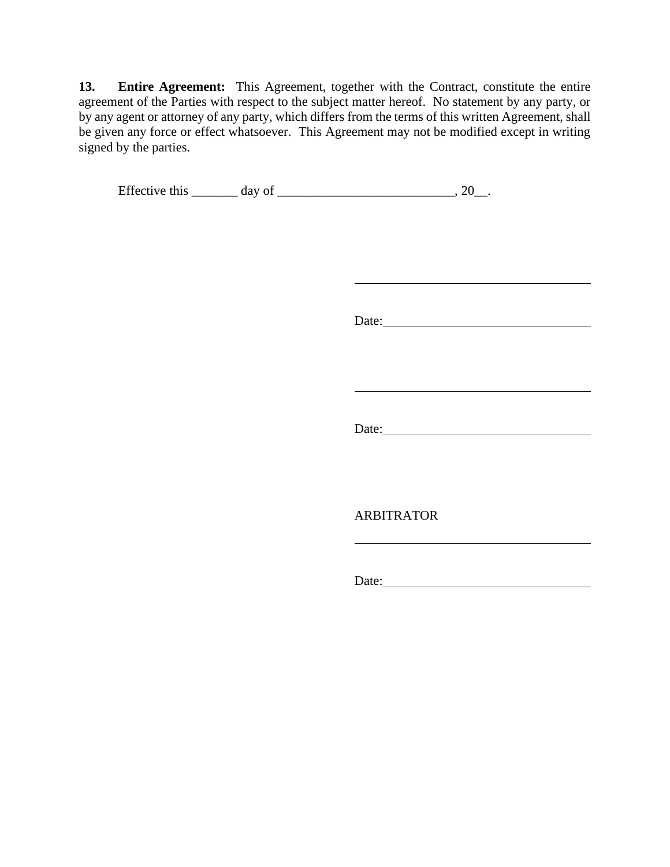**13. Entire Agreement:** This Agreement, together with the Contract, constitute the entire agreement of the Parties with respect to the subject matter hereof. No statement by any party, or by any agent or attorney of any party, which differs from the terms of this written Agreement, shall be given any force or effect whatsoever. This Agreement may not be modified except in writing signed by the parties.

Effective this  $\_\_\_\_$  day of  $\_\_\_\_\_\_\_\_$ . 20 $\_\_\_\_\_\_\_$ .

Date:

Date:

ARBITRATOR

Date: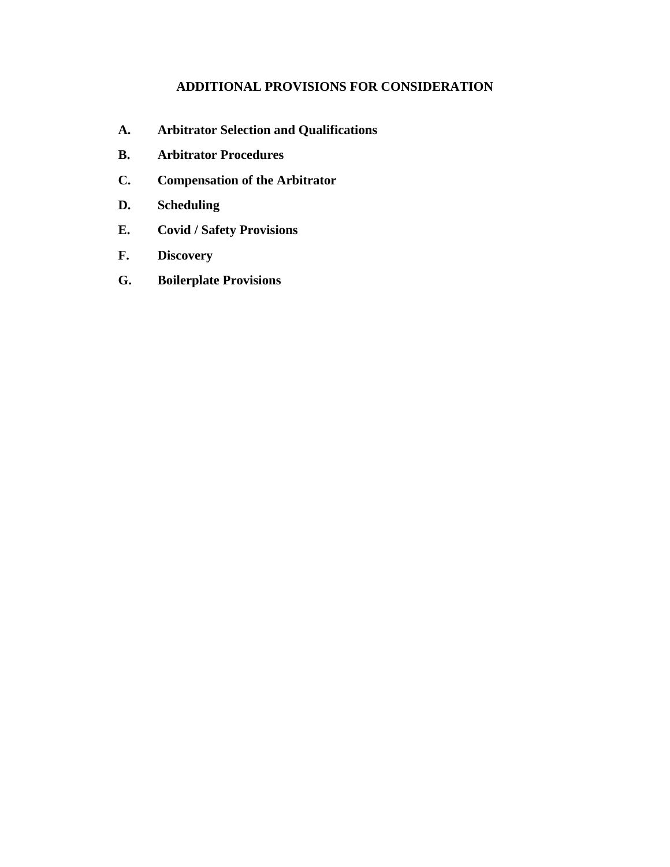# **ADDITIONAL PROVISIONS FOR CONSIDERATION**

- **A. Arbitrator Selection and Qualifications**
- **B. Arbitrator Procedures**
- **C. Compensation of the Arbitrator**
- **D. Scheduling**
- **E. Covid / Safety Provisions**
- **F. Discovery**
- **G. Boilerplate Provisions**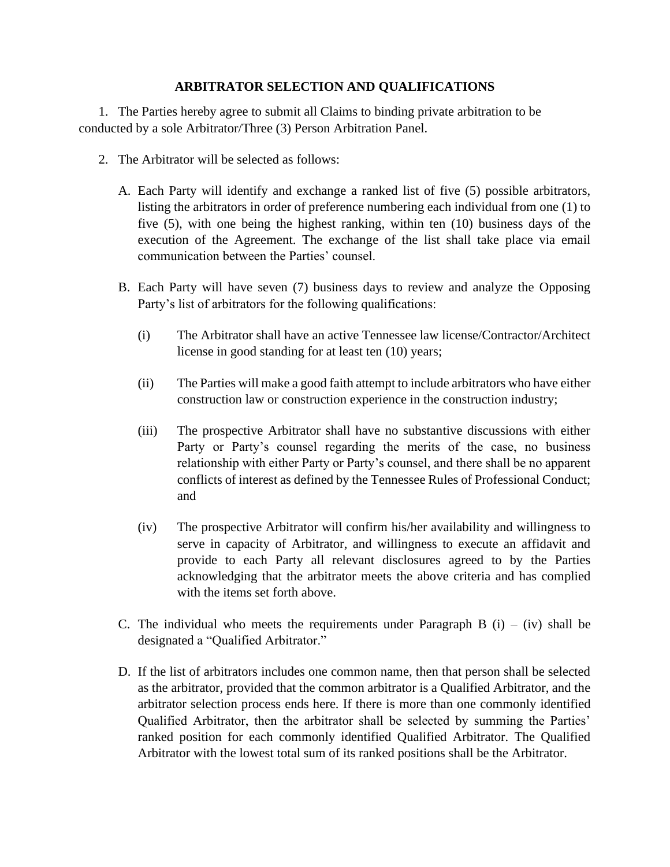## **ARBITRATOR SELECTION AND QUALIFICATIONS**

1. The Parties hereby agree to submit all Claims to binding private arbitration to be conducted by a sole Arbitrator/Three (3) Person Arbitration Panel.

- 2. The Arbitrator will be selected as follows:
	- A. Each Party will identify and exchange a ranked list of five (5) possible arbitrators, listing the arbitrators in order of preference numbering each individual from one (1) to five (5), with one being the highest ranking, within ten (10) business days of the execution of the Agreement. The exchange of the list shall take place via email communication between the Parties' counsel.
	- B. Each Party will have seven (7) business days to review and analyze the Opposing Party's list of arbitrators for the following qualifications:
		- (i) The Arbitrator shall have an active Tennessee law license/Contractor/Architect license in good standing for at least ten (10) years;
		- (ii) The Parties will make a good faith attempt to include arbitrators who have either construction law or construction experience in the construction industry;
		- (iii) The prospective Arbitrator shall have no substantive discussions with either Party or Party's counsel regarding the merits of the case, no business relationship with either Party or Party's counsel, and there shall be no apparent conflicts of interest as defined by the Tennessee Rules of Professional Conduct; and
		- (iv) The prospective Arbitrator will confirm his/her availability and willingness to serve in capacity of Arbitrator, and willingness to execute an affidavit and provide to each Party all relevant disclosures agreed to by the Parties acknowledging that the arbitrator meets the above criteria and has complied with the items set forth above.
	- C. The individual who meets the requirements under Paragraph B  $(i) (iv)$  shall be designated a "Qualified Arbitrator."
	- D. If the list of arbitrators includes one common name, then that person shall be selected as the arbitrator, provided that the common arbitrator is a Qualified Arbitrator, and the arbitrator selection process ends here. If there is more than one commonly identified Qualified Arbitrator, then the arbitrator shall be selected by summing the Parties' ranked position for each commonly identified Qualified Arbitrator. The Qualified Arbitrator with the lowest total sum of its ranked positions shall be the Arbitrator.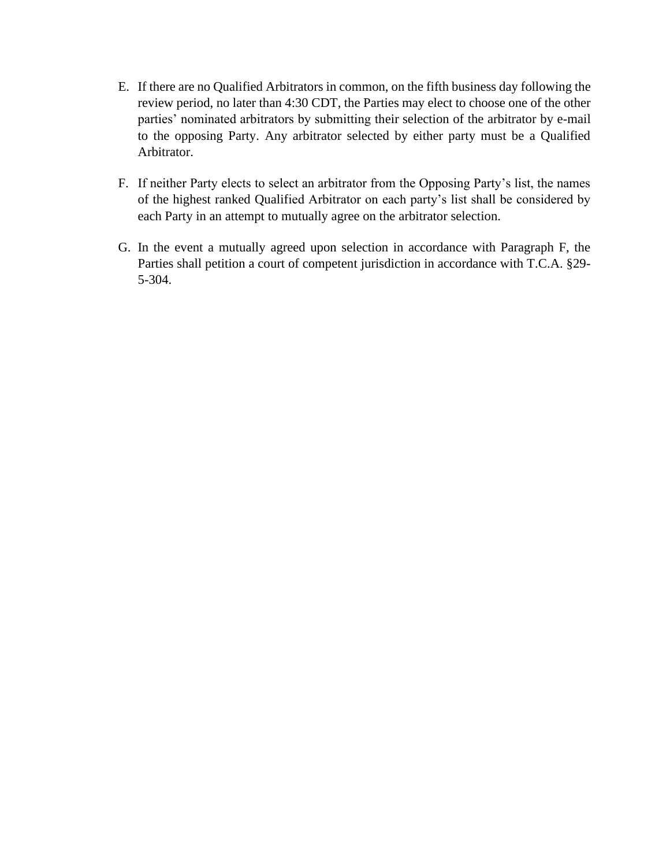- E. If there are no Qualified Arbitrators in common, on the fifth business day following the review period, no later than 4:30 CDT, the Parties may elect to choose one of the other parties' nominated arbitrators by submitting their selection of the arbitrator by e-mail to the opposing Party. Any arbitrator selected by either party must be a Qualified Arbitrator.
- F. If neither Party elects to select an arbitrator from the Opposing Party's list, the names of the highest ranked Qualified Arbitrator on each party's list shall be considered by each Party in an attempt to mutually agree on the arbitrator selection.
- G. In the event a mutually agreed upon selection in accordance with Paragraph F, the Parties shall petition a court of competent jurisdiction in accordance with T.C.A. §29- 5-304.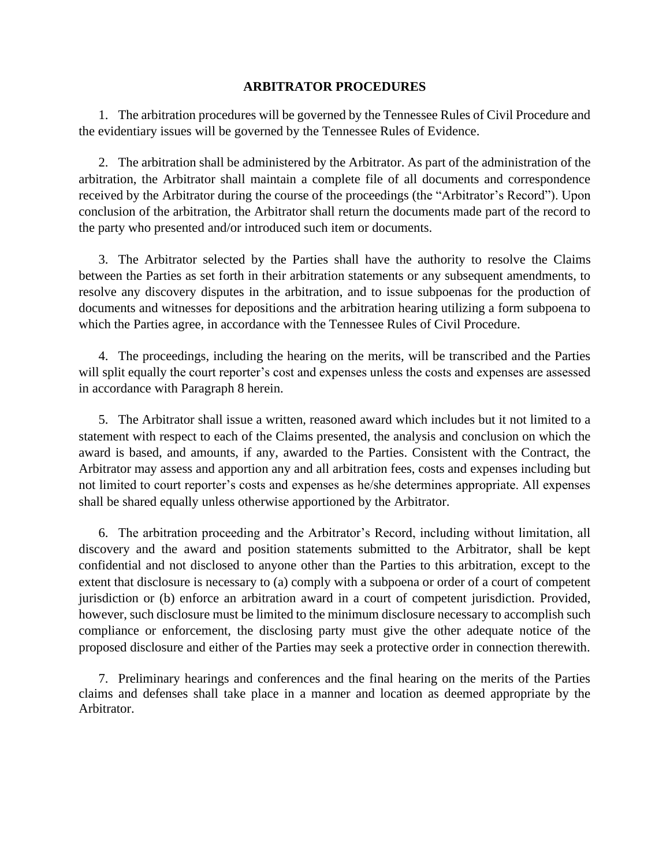#### **ARBITRATOR PROCEDURES**

1. The arbitration procedures will be governed by the Tennessee Rules of Civil Procedure and the evidentiary issues will be governed by the Tennessee Rules of Evidence.

2. The arbitration shall be administered by the Arbitrator. As part of the administration of the arbitration, the Arbitrator shall maintain a complete file of all documents and correspondence received by the Arbitrator during the course of the proceedings (the "Arbitrator's Record"). Upon conclusion of the arbitration, the Arbitrator shall return the documents made part of the record to the party who presented and/or introduced such item or documents.

3. The Arbitrator selected by the Parties shall have the authority to resolve the Claims between the Parties as set forth in their arbitration statements or any subsequent amendments, to resolve any discovery disputes in the arbitration, and to issue subpoenas for the production of documents and witnesses for depositions and the arbitration hearing utilizing a form subpoena to which the Parties agree, in accordance with the Tennessee Rules of Civil Procedure.

4. The proceedings, including the hearing on the merits, will be transcribed and the Parties will split equally the court reporter's cost and expenses unless the costs and expenses are assessed in accordance with Paragraph 8 herein.

5. The Arbitrator shall issue a written, reasoned award which includes but it not limited to a statement with respect to each of the Claims presented, the analysis and conclusion on which the award is based, and amounts, if any, awarded to the Parties. Consistent with the Contract, the Arbitrator may assess and apportion any and all arbitration fees, costs and expenses including but not limited to court reporter's costs and expenses as he/she determines appropriate. All expenses shall be shared equally unless otherwise apportioned by the Arbitrator.

6. The arbitration proceeding and the Arbitrator's Record, including without limitation, all discovery and the award and position statements submitted to the Arbitrator, shall be kept confidential and not disclosed to anyone other than the Parties to this arbitration, except to the extent that disclosure is necessary to (a) comply with a subpoena or order of a court of competent jurisdiction or (b) enforce an arbitration award in a court of competent jurisdiction. Provided, however, such disclosure must be limited to the minimum disclosure necessary to accomplish such compliance or enforcement, the disclosing party must give the other adequate notice of the proposed disclosure and either of the Parties may seek a protective order in connection therewith.

7. Preliminary hearings and conferences and the final hearing on the merits of the Parties claims and defenses shall take place in a manner and location as deemed appropriate by the Arbitrator.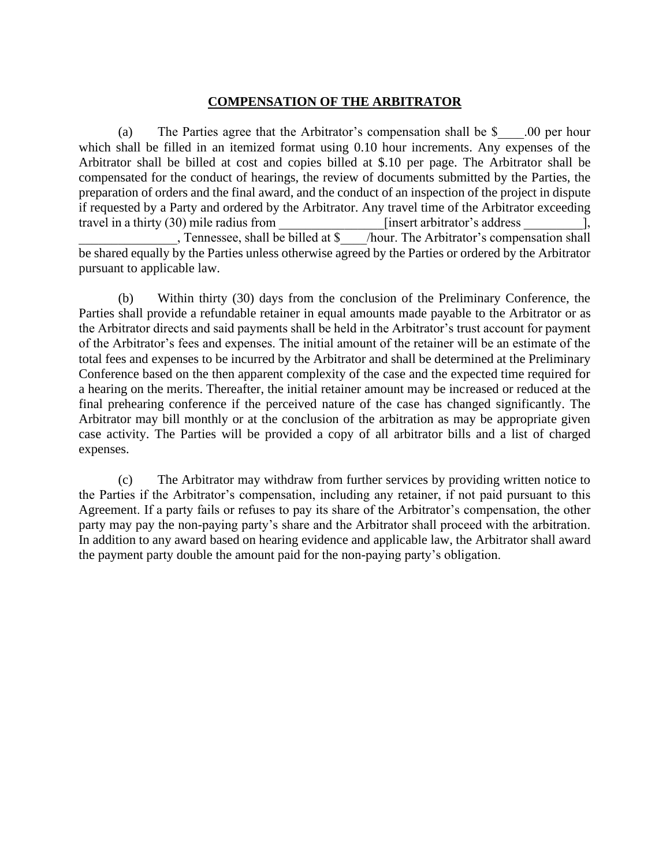### **COMPENSATION OF THE ARBITRATOR**

(a) The Parties agree that the Arbitrator's compensation shall be \$ .00 per hour which shall be filled in an itemized format using 0.10 hour increments. Any expenses of the Arbitrator shall be billed at cost and copies billed at \$.10 per page. The Arbitrator shall be compensated for the conduct of hearings, the review of documents submitted by the Parties, the preparation of orders and the final award, and the conduct of an inspection of the project in dispute if requested by a Party and ordered by the Arbitrator. Any travel time of the Arbitrator exceeding travel in a thirty (30) mile radius from [insert arbitrator's address \_\_\_\_\_\_\_\_\_\_\_\_\_\_\_\_, Tennessee, shall be billed at \$\_\_\_\_/hour. The Arbitrator's comper  $\overline{\phantom{a}}$ /hour. The Arbitrator's compensation shall be shared equally by the Parties unless otherwise agreed by the Parties or ordered by the Arbitrator pursuant to applicable law.

(b) Within thirty (30) days from the conclusion of the Preliminary Conference, the Parties shall provide a refundable retainer in equal amounts made payable to the Arbitrator or as the Arbitrator directs and said payments shall be held in the Arbitrator's trust account for payment of the Arbitrator's fees and expenses. The initial amount of the retainer will be an estimate of the total fees and expenses to be incurred by the Arbitrator and shall be determined at the Preliminary Conference based on the then apparent complexity of the case and the expected time required for a hearing on the merits. Thereafter, the initial retainer amount may be increased or reduced at the final prehearing conference if the perceived nature of the case has changed significantly. The Arbitrator may bill monthly or at the conclusion of the arbitration as may be appropriate given case activity. The Parties will be provided a copy of all arbitrator bills and a list of charged expenses.

(c) The Arbitrator may withdraw from further services by providing written notice to the Parties if the Arbitrator's compensation, including any retainer, if not paid pursuant to this Agreement. If a party fails or refuses to pay its share of the Arbitrator's compensation, the other party may pay the non-paying party's share and the Arbitrator shall proceed with the arbitration. In addition to any award based on hearing evidence and applicable law, the Arbitrator shall award the payment party double the amount paid for the non-paying party's obligation.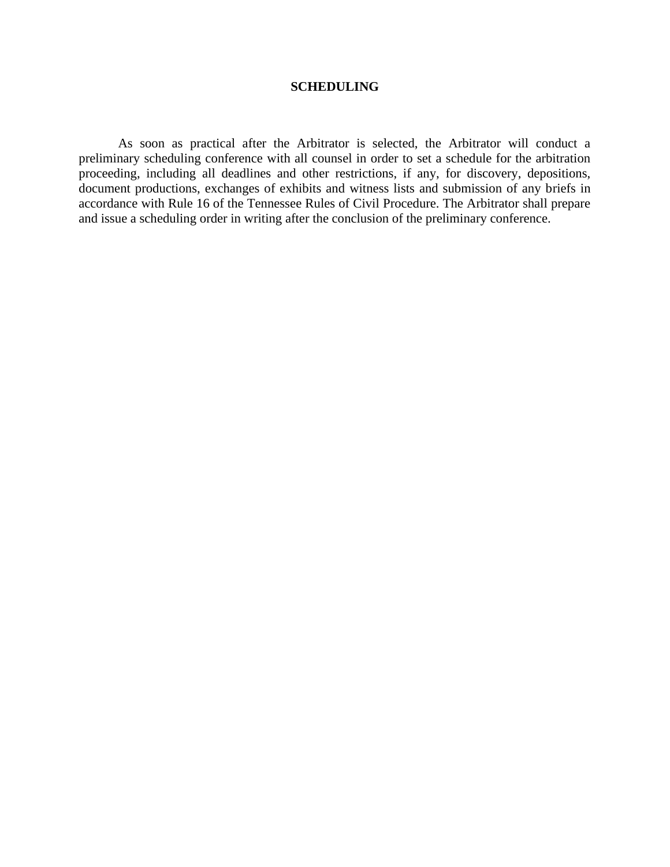#### **SCHEDULING**

As soon as practical after the Arbitrator is selected, the Arbitrator will conduct a preliminary scheduling conference with all counsel in order to set a schedule for the arbitration proceeding, including all deadlines and other restrictions, if any, for discovery, depositions, document productions, exchanges of exhibits and witness lists and submission of any briefs in accordance with Rule 16 of the Tennessee Rules of Civil Procedure. The Arbitrator shall prepare and issue a scheduling order in writing after the conclusion of the preliminary conference.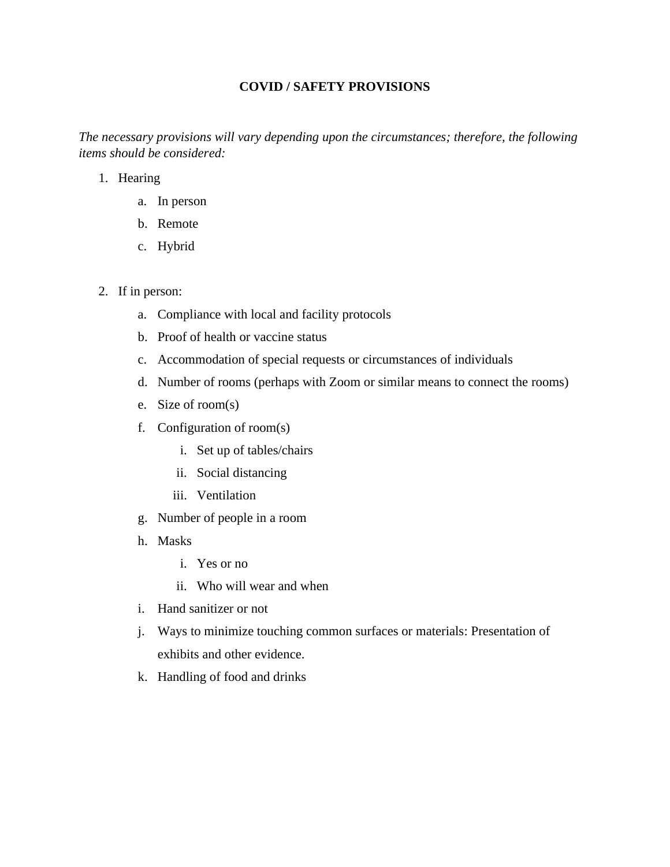## **COVID / SAFETY PROVISIONS**

*The necessary provisions will vary depending upon the circumstances; therefore, the following items should be considered:*

- 1. Hearing
	- a. In person
	- b. Remote
	- c. Hybrid
- 2. If in person:
	- a. Compliance with local and facility protocols
	- b. Proof of health or vaccine status
	- c. Accommodation of special requests or circumstances of individuals
	- d. Number of rooms (perhaps with Zoom or similar means to connect the rooms)
	- e. Size of room(s)
	- f. Configuration of room(s)
		- i. Set up of tables/chairs
		- ii. Social distancing
		- iii. Ventilation
	- g. Number of people in a room
	- h. Masks
		- i. Yes or no
		- ii. Who will wear and when
	- i. Hand sanitizer or not
	- j. Ways to minimize touching common surfaces or materials: Presentation of exhibits and other evidence.
	- k. Handling of food and drinks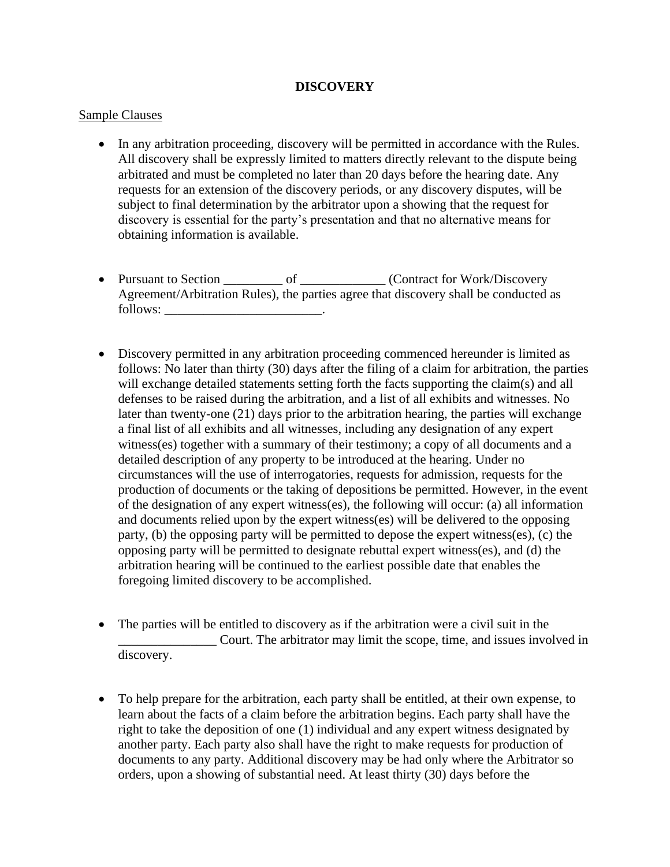#### **DISCOVERY**

#### Sample Clauses

- In any arbitration proceeding, discovery will be permitted in accordance with the Rules. All discovery shall be expressly limited to matters directly relevant to the dispute being arbitrated and must be completed no later than 20 days before the hearing date. Any requests for an extension of the discovery periods, or any discovery disputes, will be subject to final determination by the arbitrator upon a showing that the request for discovery is essential for the party's presentation and that no alternative means for obtaining information is available.
- Pursuant to Section \_\_\_\_\_\_\_\_\_\_ of \_\_\_\_\_\_\_\_\_\_\_\_ (Contract for Work/Discovery Agreement/Arbitration Rules), the parties agree that discovery shall be conducted as follows: \_\_\_\_\_\_\_\_\_\_\_\_\_\_\_\_\_\_\_\_\_\_\_\_.
- Discovery permitted in any arbitration proceeding commenced hereunder is limited as follows: No later than thirty (30) days after the filing of a claim for arbitration, the parties will exchange detailed statements setting forth the facts supporting the claim(s) and all defenses to be raised during the arbitration, and a list of all exhibits and witnesses. No later than twenty-one (21) days prior to the arbitration hearing, the parties will exchange a final list of all exhibits and all witnesses, including any designation of any expert witness(es) together with a summary of their testimony; a copy of all documents and a detailed description of any property to be introduced at the hearing. Under no circumstances will the use of interrogatories, requests for admission, requests for the production of documents or the taking of depositions be permitted. However, in the event of the designation of any expert witness(es), the following will occur: (a) all information and documents relied upon by the expert witness(es) will be delivered to the opposing party, (b) the opposing party will be permitted to depose the expert witness(es), (c) the opposing party will be permitted to designate rebuttal expert witness(es), and (d) the arbitration hearing will be continued to the earliest possible date that enables the foregoing limited discovery to be accomplished.
- The parties will be entitled to discovery as if the arbitration were a civil suit in the \_\_\_\_\_\_\_\_\_\_\_\_\_\_\_ Court. The arbitrator may limit the scope, time, and issues involved in discovery.
- To help prepare for the arbitration, each party shall be entitled, at their own expense, to learn about the facts of a claim before the arbitration begins. Each party shall have the right to take the deposition of one (1) individual and any expert witness designated by another party. Each party also shall have the right to make requests for production of documents to any party. Additional discovery may be had only where the Arbitrator so orders, upon a showing of substantial need. At least thirty (30) days before the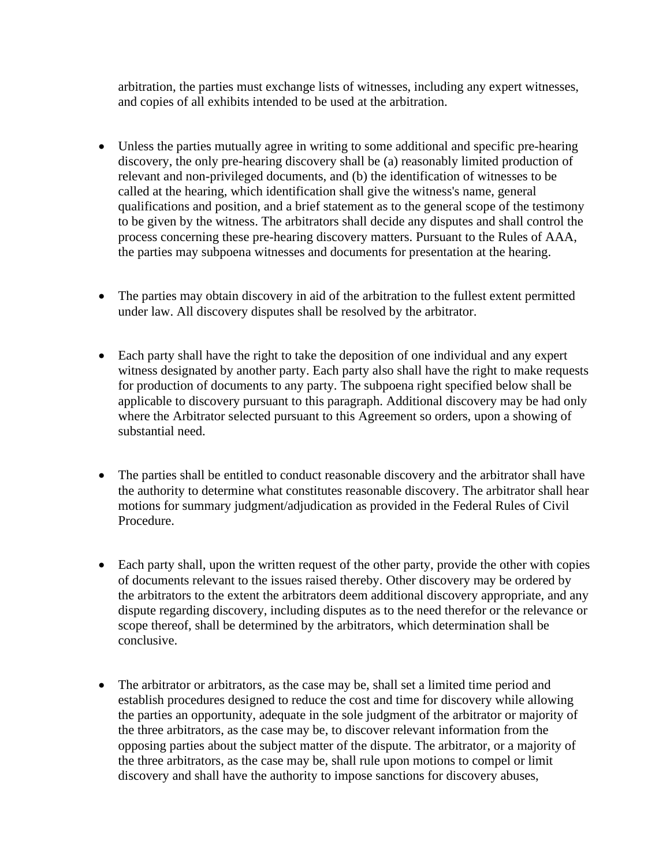arbitration, the parties must exchange lists of witnesses, including any expert witnesses, and copies of all exhibits intended to be used at the arbitration.

- Unless the parties mutually agree in writing to some additional and specific pre-hearing discovery, the only pre-hearing discovery shall be (a) reasonably limited production of relevant and non-privileged documents, and (b) the identification of witnesses to be called at the hearing, which identification shall give the witness's name, general qualifications and position, and a brief statement as to the general scope of the testimony to be given by the witness. The arbitrators shall decide any disputes and shall control the process concerning these pre-hearing discovery matters. Pursuant to the Rules of AAA, the parties may subpoena witnesses and documents for presentation at the hearing.
- The parties may obtain discovery in aid of the arbitration to the fullest extent permitted under law. All discovery disputes shall be resolved by the arbitrator.
- Each party shall have the right to take the deposition of one individual and any expert witness designated by another party. Each party also shall have the right to make requests for production of documents to any party. The subpoena right specified below shall be applicable to discovery pursuant to this paragraph. Additional discovery may be had only where the Arbitrator selected pursuant to this Agreement so orders, upon a showing of substantial need.
- The parties shall be entitled to conduct reasonable discovery and the arbitrator shall have the authority to determine what constitutes reasonable discovery. The arbitrator shall hear motions for summary judgment/adjudication as provided in the Federal Rules of Civil Procedure.
- Each party shall, upon the written request of the other party, provide the other with copies of documents relevant to the issues raised thereby. Other discovery may be ordered by the arbitrators to the extent the arbitrators deem additional discovery appropriate, and any dispute regarding discovery, including disputes as to the need therefor or the relevance or scope thereof, shall be determined by the arbitrators, which determination shall be conclusive.
- The arbitrator or arbitrators, as the case may be, shall set a limited time period and establish procedures designed to reduce the cost and time for discovery while allowing the parties an opportunity, adequate in the sole judgment of the arbitrator or majority of the three arbitrators, as the case may be, to discover relevant information from the opposing parties about the subject matter of the dispute. The arbitrator, or a majority of the three arbitrators, as the case may be, shall rule upon motions to compel or limit discovery and shall have the authority to impose sanctions for discovery abuses,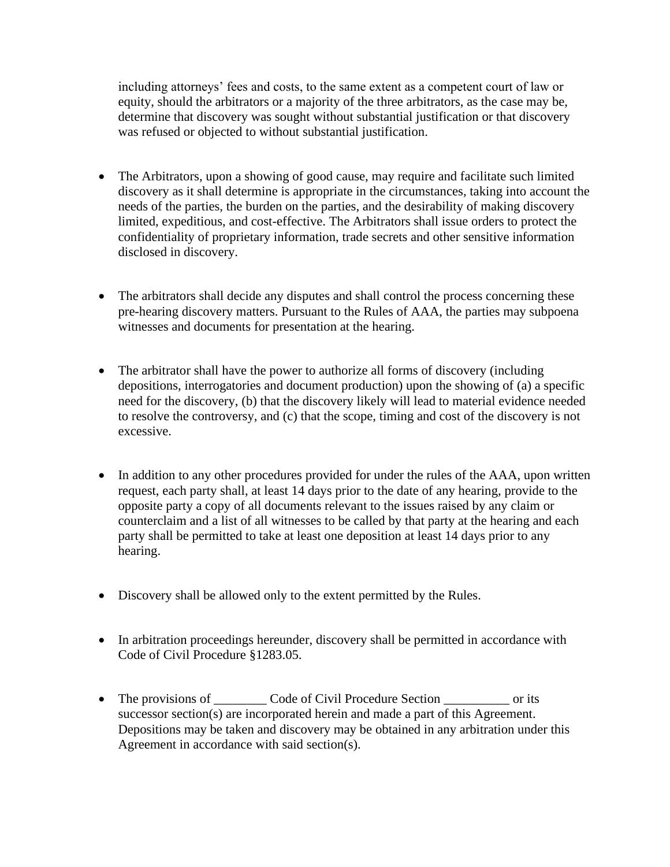including attorneys' fees and costs, to the same extent as a competent court of law or equity, should the arbitrators or a majority of the three arbitrators, as the case may be, determine that discovery was sought without substantial justification or that discovery was refused or objected to without substantial justification.

- The Arbitrators, upon a showing of good cause, may require and facilitate such limited discovery as it shall determine is appropriate in the circumstances, taking into account the needs of the parties, the burden on the parties, and the desirability of making discovery limited, expeditious, and cost-effective. The Arbitrators shall issue orders to protect the confidentiality of proprietary information, trade secrets and other sensitive information disclosed in discovery.
- The arbitrators shall decide any disputes and shall control the process concerning these pre-hearing discovery matters. Pursuant to the Rules of AAA, the parties may subpoena witnesses and documents for presentation at the hearing.
- The arbitrator shall have the power to authorize all forms of discovery (including depositions, interrogatories and document production) upon the showing of (a) a specific need for the discovery, (b) that the discovery likely will lead to material evidence needed to resolve the controversy, and (c) that the scope, timing and cost of the discovery is not excessive.
- In addition to any other procedures provided for under the rules of the AAA, upon written request, each party shall, at least 14 days prior to the date of any hearing, provide to the opposite party a copy of all documents relevant to the issues raised by any claim or counterclaim and a list of all witnesses to be called by that party at the hearing and each party shall be permitted to take at least one deposition at least 14 days prior to any hearing.
- Discovery shall be allowed only to the extent permitted by the Rules.
- In arbitration proceedings hereunder, discovery shall be permitted in accordance with Code of Civil Procedure §1283.05.
- The provisions of \_\_\_\_\_\_\_\_\_\_\_ Code of Civil Procedure Section \_\_\_\_\_\_\_\_\_\_\_\_\_ or its successor section(s) are incorporated herein and made a part of this Agreement. Depositions may be taken and discovery may be obtained in any arbitration under this Agreement in accordance with said section(s).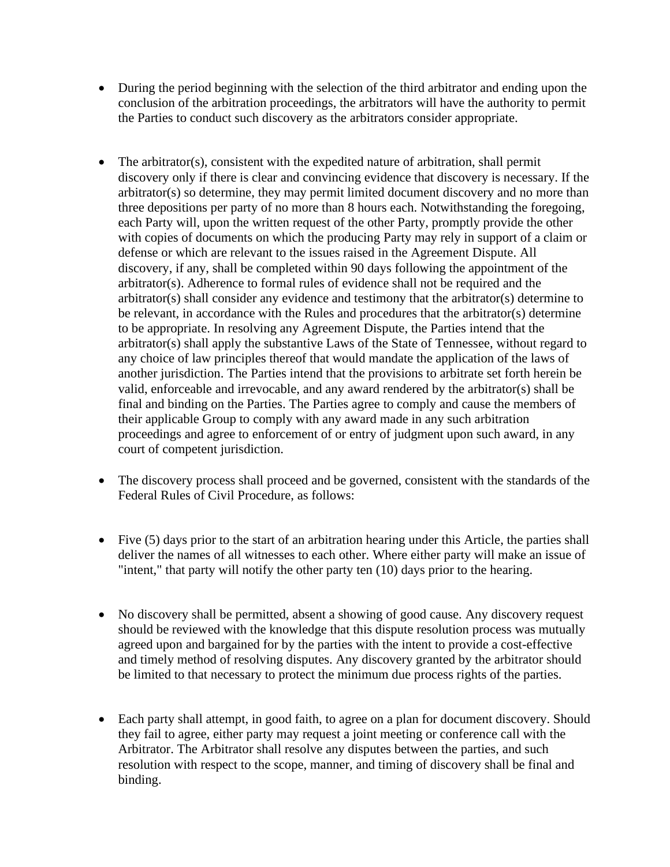- During the period beginning with the selection of the third arbitrator and ending upon the conclusion of the arbitration proceedings, the arbitrators will have the authority to permit the Parties to conduct such discovery as the arbitrators consider appropriate.
- The arbitrator(s), consistent with the expedited nature of arbitration, shall permit discovery only if there is clear and convincing evidence that discovery is necessary. If the arbitrator(s) so determine, they may permit limited document discovery and no more than three depositions per party of no more than 8 hours each. Notwithstanding the foregoing, each Party will, upon the written request of the other Party, promptly provide the other with copies of documents on which the producing Party may rely in support of a claim or defense or which are relevant to the issues raised in the Agreement Dispute. All discovery, if any, shall be completed within 90 days following the appointment of the arbitrator(s). Adherence to formal rules of evidence shall not be required and the arbitrator(s) shall consider any evidence and testimony that the arbitrator(s) determine to be relevant, in accordance with the Rules and procedures that the arbitrator(s) determine to be appropriate. In resolving any Agreement Dispute, the Parties intend that the arbitrator(s) shall apply the substantive Laws of the State of Tennessee, without regard to any choice of law principles thereof that would mandate the application of the laws of another jurisdiction. The Parties intend that the provisions to arbitrate set forth herein be valid, enforceable and irrevocable, and any award rendered by the arbitrator(s) shall be final and binding on the Parties. The Parties agree to comply and cause the members of their applicable Group to comply with any award made in any such arbitration proceedings and agree to enforcement of or entry of judgment upon such award, in any court of competent jurisdiction.
- The discovery process shall proceed and be governed, consistent with the standards of the Federal Rules of Civil Procedure, as follows:
- Five (5) days prior to the start of an arbitration hearing under this Article, the parties shall deliver the names of all witnesses to each other. Where either party will make an issue of "intent," that party will notify the other party ten (10) days prior to the hearing.
- No discovery shall be permitted, absent a showing of good cause. Any discovery request should be reviewed with the knowledge that this dispute resolution process was mutually agreed upon and bargained for by the parties with the intent to provide a cost-effective and timely method of resolving disputes. Any discovery granted by the arbitrator should be limited to that necessary to protect the minimum due process rights of the parties.
- Each party shall attempt, in good faith, to agree on a plan for document discovery. Should they fail to agree, either party may request a joint meeting or conference call with the Arbitrator. The Arbitrator shall resolve any disputes between the parties, and such resolution with respect to the scope, manner, and timing of discovery shall be final and binding.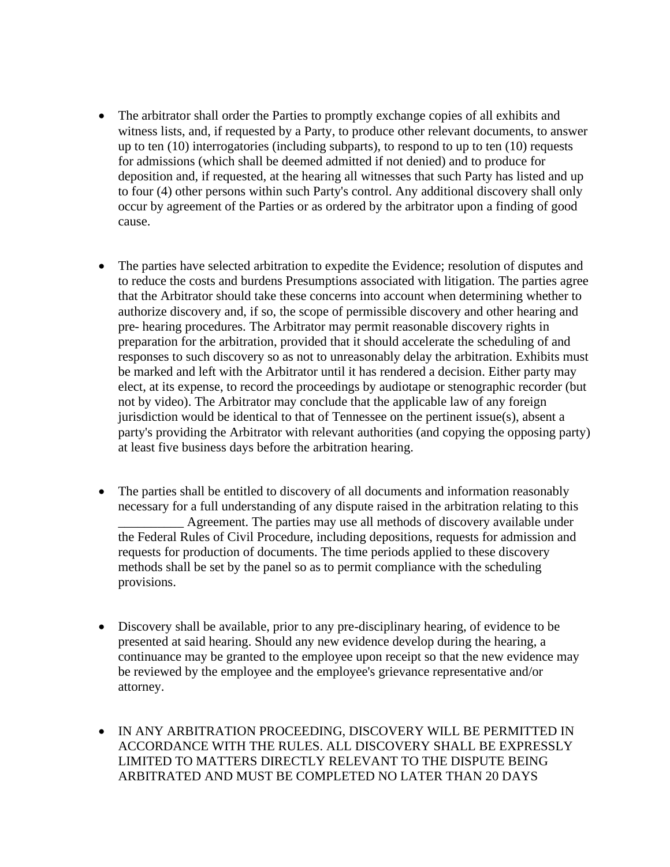- The arbitrator shall order the Parties to promptly exchange copies of all exhibits and witness lists, and, if requested by a Party, to produce other relevant documents, to answer up to ten (10) interrogatories (including subparts), to respond to up to ten (10) requests for admissions (which shall be deemed admitted if not denied) and to produce for deposition and, if requested, at the hearing all witnesses that such Party has listed and up to four (4) other persons within such Party's control. Any additional discovery shall only occur by agreement of the Parties or as ordered by the arbitrator upon a finding of good cause.
- The parties have selected arbitration to expedite the Evidence; resolution of disputes and to reduce the costs and burdens Presumptions associated with litigation. The parties agree that the Arbitrator should take these concerns into account when determining whether to authorize discovery and, if so, the scope of permissible discovery and other hearing and pre- hearing procedures. The Arbitrator may permit reasonable discovery rights in preparation for the arbitration, provided that it should accelerate the scheduling of and responses to such discovery so as not to unreasonably delay the arbitration. Exhibits must be marked and left with the Arbitrator until it has rendered a decision. Either party may elect, at its expense, to record the proceedings by audiotape or stenographic recorder (but not by video). The Arbitrator may conclude that the applicable law of any foreign jurisdiction would be identical to that of Tennessee on the pertinent issue(s), absent a party's providing the Arbitrator with relevant authorities (and copying the opposing party) at least five business days before the arbitration hearing.
- The parties shall be entitled to discovery of all documents and information reasonably necessary for a full understanding of any dispute raised in the arbitration relating to this Agreement. The parties may use all methods of discovery available under the Federal Rules of Civil Procedure, including depositions, requests for admission and requests for production of documents. The time periods applied to these discovery methods shall be set by the panel so as to permit compliance with the scheduling provisions.
- Discovery shall be available, prior to any pre-disciplinary hearing, of evidence to be presented at said hearing. Should any new evidence develop during the hearing, a continuance may be granted to the employee upon receipt so that the new evidence may be reviewed by the employee and the employee's grievance representative and/or attorney.
- IN ANY ARBITRATION PROCEEDING, DISCOVERY WILL BE PERMITTED IN ACCORDANCE WITH THE RULES. ALL DISCOVERY SHALL BE EXPRESSLY LIMITED TO MATTERS DIRECTLY RELEVANT TO THE DISPUTE BEING ARBITRATED AND MUST BE COMPLETED NO LATER THAN 20 DAYS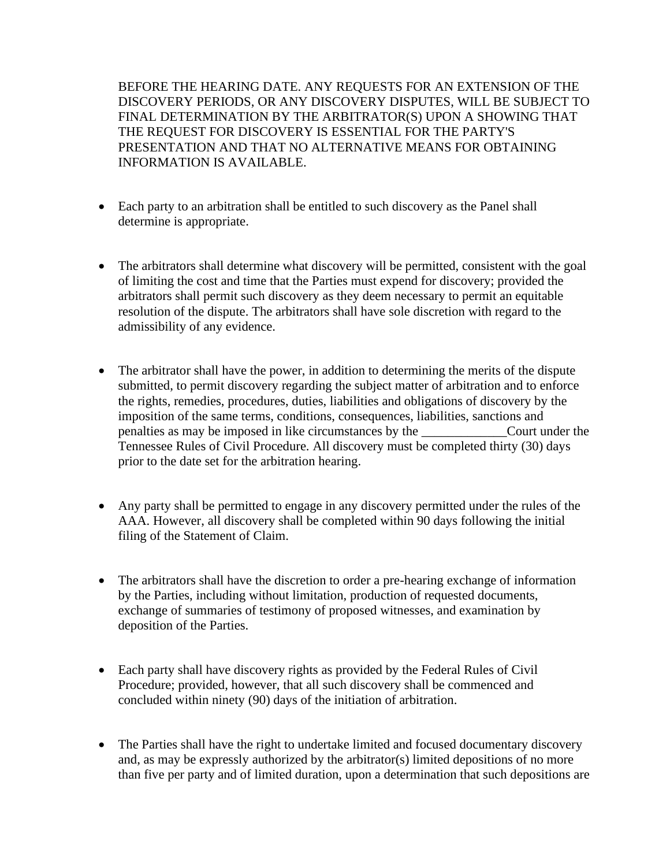BEFORE THE HEARING DATE. ANY REQUESTS FOR AN EXTENSION OF THE DISCOVERY PERIODS, OR ANY DISCOVERY DISPUTES, WILL BE SUBJECT TO FINAL DETERMINATION BY THE ARBITRATOR(S) UPON A SHOWING THAT THE REQUEST FOR DISCOVERY IS ESSENTIAL FOR THE PARTY'S PRESENTATION AND THAT NO ALTERNATIVE MEANS FOR OBTAINING INFORMATION IS AVAILABLE.

- Each party to an arbitration shall be entitled to such discovery as the Panel shall determine is appropriate.
- The arbitrators shall determine what discovery will be permitted, consistent with the goal of limiting the cost and time that the Parties must expend for discovery; provided the arbitrators shall permit such discovery as they deem necessary to permit an equitable resolution of the dispute. The arbitrators shall have sole discretion with regard to the admissibility of any evidence.
- The arbitrator shall have the power, in addition to determining the merits of the dispute submitted, to permit discovery regarding the subject matter of arbitration and to enforce the rights, remedies, procedures, duties, liabilities and obligations of discovery by the imposition of the same terms, conditions, consequences, liabilities, sanctions and penalties as may be imposed in like circumstances by the  $\overline{\phantom{a}}$ Tennessee Rules of Civil Procedure. All discovery must be completed thirty (30) days prior to the date set for the arbitration hearing.
- Any party shall be permitted to engage in any discovery permitted under the rules of the AAA. However, all discovery shall be completed within 90 days following the initial filing of the Statement of Claim.
- The arbitrators shall have the discretion to order a pre-hearing exchange of information by the Parties, including without limitation, production of requested documents, exchange of summaries of testimony of proposed witnesses, and examination by deposition of the Parties.
- Each party shall have discovery rights as provided by the Federal Rules of Civil Procedure; provided, however, that all such discovery shall be commenced and concluded within ninety (90) days of the initiation of arbitration.
- The Parties shall have the right to undertake limited and focused documentary discovery and, as may be expressly authorized by the arbitrator(s) limited depositions of no more than five per party and of limited duration, upon a determination that such depositions are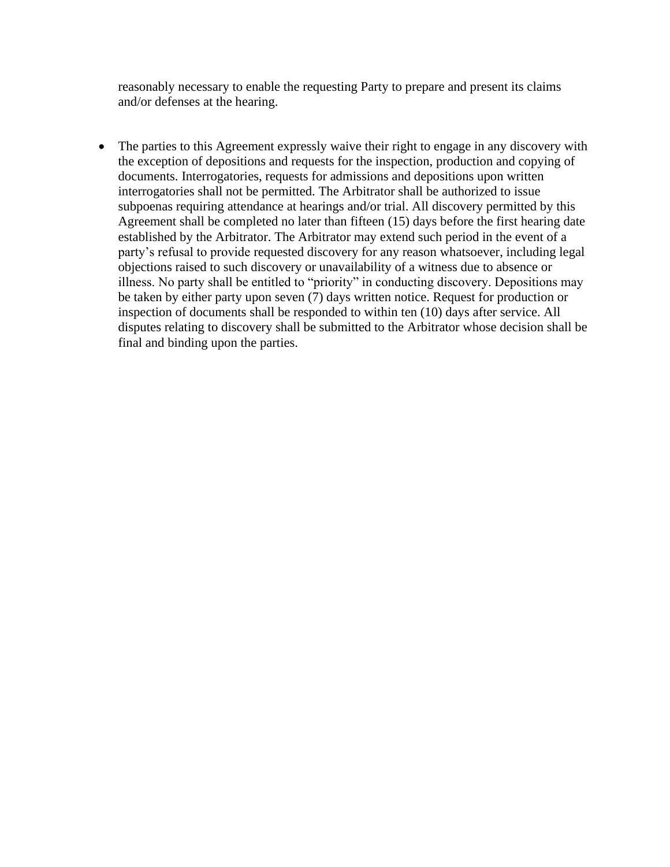reasonably necessary to enable the requesting Party to prepare and present its claims and/or defenses at the hearing.

The parties to this Agreement expressly waive their right to engage in any discovery with the exception of depositions and requests for the inspection, production and copying of documents. Interrogatories, requests for admissions and depositions upon written interrogatories shall not be permitted. The Arbitrator shall be authorized to issue subpoenas requiring attendance at hearings and/or trial. All discovery permitted by this Agreement shall be completed no later than fifteen (15) days before the first hearing date established by the Arbitrator. The Arbitrator may extend such period in the event of a party's refusal to provide requested discovery for any reason whatsoever, including legal objections raised to such discovery or unavailability of a witness due to absence or illness. No party shall be entitled to "priority" in conducting discovery. Depositions may be taken by either party upon seven (7) days written notice. Request for production or inspection of documents shall be responded to within ten (10) days after service. All disputes relating to discovery shall be submitted to the Arbitrator whose decision shall be final and binding upon the parties.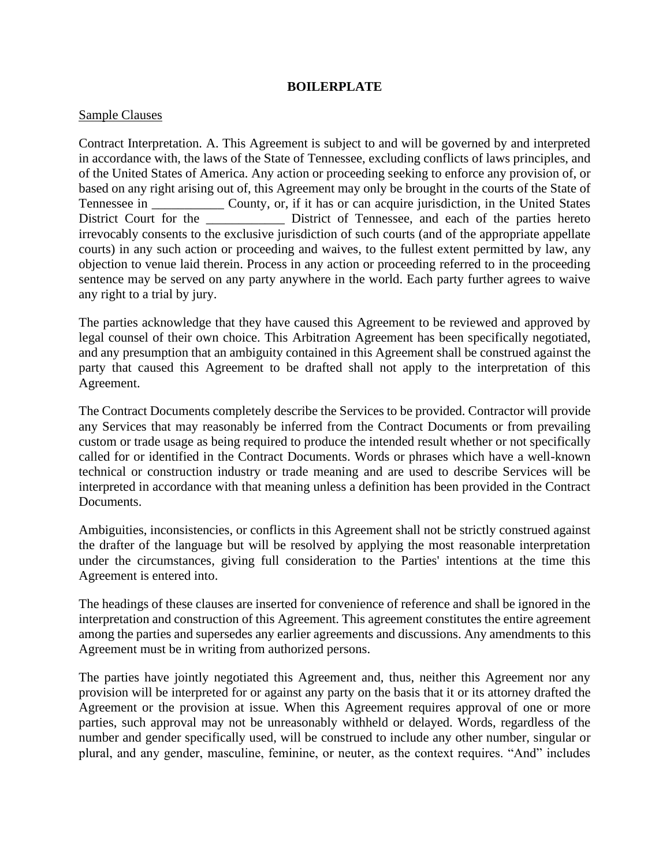#### **BOILERPLATE**

#### Sample Clauses

Contract Interpretation. A. This Agreement is subject to and will be governed by and interpreted in accordance with, the laws of the State of Tennessee, excluding conflicts of laws principles, and of the United States of America. Any action or proceeding seeking to enforce any provision of, or based on any right arising out of, this Agreement may only be brought in the courts of the State of Tennessee in \_\_\_\_\_\_\_\_\_\_\_ County, or, if it has or can acquire jurisdiction, in the United States District Court for the <u>neuron bistrict of Tennessee</u>, and each of the parties hereto irrevocably consents to the exclusive jurisdiction of such courts (and of the appropriate appellate courts) in any such action or proceeding and waives, to the fullest extent permitted by law, any objection to venue laid therein. Process in any action or proceeding referred to in the proceeding sentence may be served on any party anywhere in the world. Each party further agrees to waive any right to a trial by jury.

The parties acknowledge that they have caused this Agreement to be reviewed and approved by legal counsel of their own choice. This Arbitration Agreement has been specifically negotiated, and any presumption that an ambiguity contained in this Agreement shall be construed against the party that caused this Agreement to be drafted shall not apply to the interpretation of this Agreement.

The Contract Documents completely describe the Services to be provided. Contractor will provide any Services that may reasonably be inferred from the Contract Documents or from prevailing custom or trade usage as being required to produce the intended result whether or not specifically called for or identified in the Contract Documents. Words or phrases which have a well-known technical or construction industry or trade meaning and are used to describe Services will be interpreted in accordance with that meaning unless a definition has been provided in the Contract Documents.

Ambiguities, inconsistencies, or conflicts in this Agreement shall not be strictly construed against the drafter of the language but will be resolved by applying the most reasonable interpretation under the circumstances, giving full consideration to the Parties' intentions at the time this Agreement is entered into.

The headings of these clauses are inserted for convenience of reference and shall be ignored in the interpretation and construction of this Agreement. This agreement constitutes the entire agreement among the parties and supersedes any earlier agreements and discussions. Any amendments to this Agreement must be in writing from authorized persons.

The parties have jointly negotiated this Agreement and, thus, neither this Agreement nor any provision will be interpreted for or against any party on the basis that it or its attorney drafted the Agreement or the provision at issue. When this Agreement requires approval of one or more parties, such approval may not be unreasonably withheld or delayed. Words, regardless of the number and gender specifically used, will be construed to include any other number, singular or plural, and any gender, masculine, feminine, or neuter, as the context requires. "And" includes